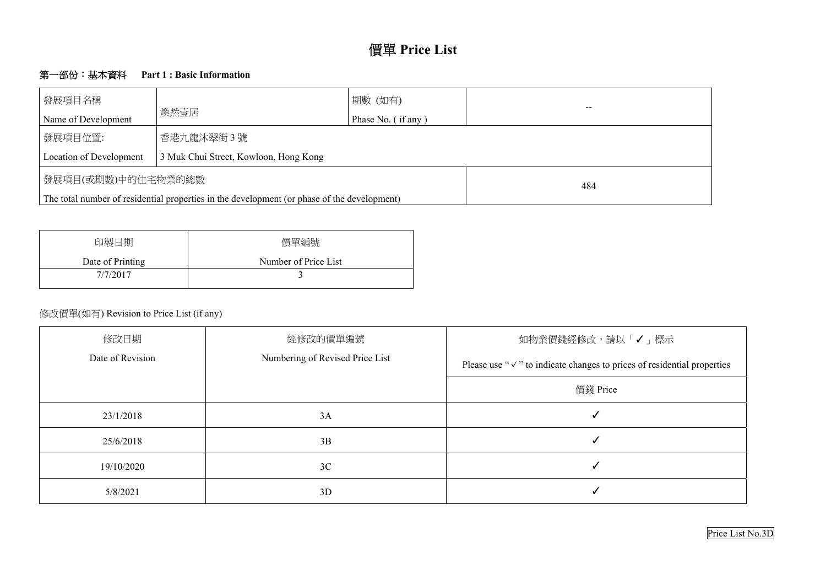

# 第一部份:基本資料 **Part 1 : Basic Information**

| 發展項目名稱                  |                                                                                             | 期數 (如有)            |     |
|-------------------------|---------------------------------------------------------------------------------------------|--------------------|-----|
| Name of Development     | 煥然壹居                                                                                        | Phase No. (if any) |     |
| 接展項目位置:                 | 香港九龍沐翠街3號                                                                                   |                    |     |
| Location of Development | 3 Muk Chui Street, Kowloon, Hong Kong                                                       |                    |     |
| 發展項目(或期數)中的住宅物業的總數      |                                                                                             |                    | 484 |
|                         | The total number of residential properties in the development (or phase of the development) |                    |     |

| 印製日期             | 價單編號                 |
|------------------|----------------------|
| Date of Printing | Number of Price List |
| 7/7/2017         |                      |
|                  |                      |

# 修改價單(如有) Revision to Price List (if any)



| 修改日期             | 經修改的價單編號                        | 如物業價錢經修改,請2                                            |
|------------------|---------------------------------|--------------------------------------------------------|
| Date of Revision | Numbering of Revised Price List | Please use " $\checkmark$ " to indicate changes to pri |
|                  |                                 | 價錢 Price                                               |
| 23/1/2018        | 3A                              |                                                        |
| 25/6/2018        | 3B                              |                                                        |
| 19/10/2020       | 3C                              |                                                        |
| 5/8/2021         | 3D                              |                                                        |

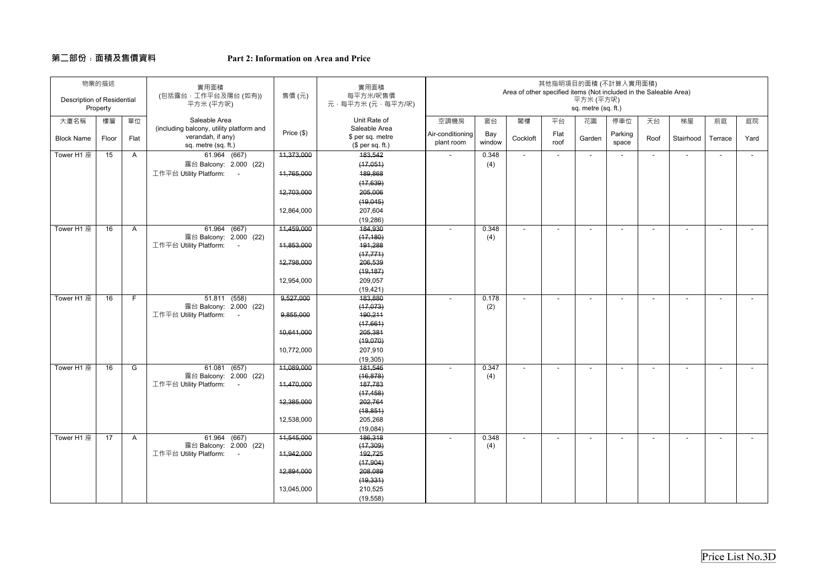#### **第二部份﹕面積及售價資料**

#### **Part 2: Information on Area and Price**

| Description of Residential | 物業的描述<br>Property |                | 實用面積<br>(包括露台,工作平台及陽台(如有))<br>平方米 (平方呎)                                              | 售價(元)      | 實用面積<br>每平方米/呎售價<br>元 · 每平方米 (元 · 每平方/呎)              |                                |               | Area of other specified items (Not included in the Saleable Area) |                          | 平方米 (平方呎)<br>sq. metre (sq. ft.) | 其他指明項目的面積 (不計算入實用面積)     |                          |                          |                          |                          |
|----------------------------|-------------------|----------------|--------------------------------------------------------------------------------------|------------|-------------------------------------------------------|--------------------------------|---------------|-------------------------------------------------------------------|--------------------------|----------------------------------|--------------------------|--------------------------|--------------------------|--------------------------|--------------------------|
| 大廈名稱                       | 樓層                | 單位             | Saleable Area                                                                        |            | Unit Rate of                                          | 空調機房                           | 窗台            | 閣樓                                                                | 平台                       | 花園                               | 停車位                      | 天台                       | 梯屋                       | 前庭                       | 庭院                       |
| <b>Block Name</b>          | Floor             | Flat           | (including balcony, utility platform and<br>verandah, if any)<br>sq. metre (sq. ft.) | Price (\$) | Saleable Area<br>\$ per sq. metre<br>$$$ per sq. ft.) | Air-conditioning<br>plant room | Bay<br>window | Cockloft                                                          | Flat<br>roof             | Garden                           | Parking<br>space         | Roof                     | Stairhood                | Terrace                  | Yard                     |
| Tower H1 座                 | 15                | $\mathsf{A}$   | 61.964 (667)                                                                         | 44,373,000 | 183.542                                               | $\overline{a}$                 | 0.348         | $\overline{\phantom{a}}$                                          | $\overline{\phantom{a}}$ | $\overline{\phantom{a}}$         | $\overline{\phantom{a}}$ | $\overline{\phantom{a}}$ | $\overline{\phantom{a}}$ | $\overline{\phantom{a}}$ | $\sim$                   |
|                            |                   |                | 露台 Balcony: 2.000 (22)                                                               |            | (17,051)                                              |                                | (4)           |                                                                   |                          |                                  |                          |                          |                          |                          |                          |
|                            |                   |                | 工作平台 Utility Platform:<br>$\sim$                                                     | 11,765,000 | 189,868                                               |                                |               |                                                                   |                          |                                  |                          |                          |                          |                          |                          |
|                            |                   |                |                                                                                      |            | (17, 639)                                             |                                |               |                                                                   |                          |                                  |                          |                          |                          |                          |                          |
|                            |                   |                |                                                                                      | 42,703,000 | 205,006                                               |                                |               |                                                                   |                          |                                  |                          |                          |                          |                          |                          |
|                            |                   |                |                                                                                      |            | (19,045)                                              |                                |               |                                                                   |                          |                                  |                          |                          |                          |                          |                          |
|                            |                   |                |                                                                                      | 12,864,000 | 207,604                                               |                                |               |                                                                   |                          |                                  |                          |                          |                          |                          |                          |
| Tower H1 座                 | 16                | A              | 61.964 (667)                                                                         | 11,459,000 | (19, 286)<br>184,930                                  | $\overline{\phantom{a}}$       | 0.348         | $\overline{\phantom{a}}$                                          | $\overline{\phantom{a}}$ | $\overline{\phantom{a}}$         | $\blacksquare$           | $\blacksquare$           | $\overline{\phantom{a}}$ | $\overline{\phantom{a}}$ |                          |
|                            |                   |                | 露台 Balcony: 2.000 (22)                                                               |            | (17, 180)                                             |                                | (4)           |                                                                   |                          |                                  |                          |                          |                          |                          |                          |
|                            |                   |                | 工作平台 Utility Platform: -                                                             | 11,853,000 | 191,288                                               |                                |               |                                                                   |                          |                                  |                          |                          |                          |                          |                          |
|                            |                   |                |                                                                                      |            | (17, 771)                                             |                                |               |                                                                   |                          |                                  |                          |                          |                          |                          |                          |
|                            |                   |                |                                                                                      | 12,798,000 | 206,539                                               |                                |               |                                                                   |                          |                                  |                          |                          |                          |                          |                          |
|                            |                   |                |                                                                                      |            | (19, 187)                                             |                                |               |                                                                   |                          |                                  |                          |                          |                          |                          |                          |
|                            |                   |                |                                                                                      | 12,954,000 | 209,057<br>(19, 421)                                  |                                |               |                                                                   |                          |                                  |                          |                          |                          |                          |                          |
| Tower H1 座                 | 16                | F.             | 51.811 (558)                                                                         | 9,527,000  | 183,880                                               | $\overline{a}$                 | 0.178         | $\overline{\phantom{a}}$                                          | $\overline{\phantom{a}}$ | $\overline{\phantom{a}}$         | $\overline{\phantom{a}}$ | $\overline{\phantom{a}}$ | $\overline{\phantom{a}}$ | $\overline{\phantom{a}}$ | $\overline{\phantom{a}}$ |
|                            |                   |                | 露台 Balcony: 2.000 (22)                                                               |            | (17,073)                                              |                                | (2)           |                                                                   |                          |                                  |                          |                          |                          |                          |                          |
|                            |                   |                | 工作平台 Utility Platform: -                                                             | 9,855,000  | 190,211                                               |                                |               |                                                                   |                          |                                  |                          |                          |                          |                          |                          |
|                            |                   |                |                                                                                      |            | (17,661)                                              |                                |               |                                                                   |                          |                                  |                          |                          |                          |                          |                          |
|                            |                   |                |                                                                                      | 10,641,000 | 205,381                                               |                                |               |                                                                   |                          |                                  |                          |                          |                          |                          |                          |
|                            |                   |                |                                                                                      |            | (19,070)                                              |                                |               |                                                                   |                          |                                  |                          |                          |                          |                          |                          |
|                            |                   |                |                                                                                      | 10,772,000 | 207,910                                               |                                |               |                                                                   |                          |                                  |                          |                          |                          |                          |                          |
| Tower H1 座                 | 16                | G              | $61.081$ (657)                                                                       | 11,089,000 | (19, 305)<br>181,546                                  | $\overline{a}$                 | 0.347         | $\overline{\phantom{a}}$                                          | $\overline{\phantom{a}}$ | $\overline{\phantom{a}}$         | $\overline{\phantom{a}}$ | $\overline{\phantom{a}}$ | $\overline{\phantom{a}}$ | $\overline{\phantom{a}}$ |                          |
|                            |                   |                | 露台 Balcony: 2.000 (22)                                                               |            | (16, 878)                                             |                                | (4)           |                                                                   |                          |                                  |                          |                          |                          |                          |                          |
|                            |                   |                | 工作平台 Utility Platform: -                                                             | 11,470,000 | 187,783                                               |                                |               |                                                                   |                          |                                  |                          |                          |                          |                          |                          |
|                            |                   |                |                                                                                      |            | (17, 458)                                             |                                |               |                                                                   |                          |                                  |                          |                          |                          |                          |                          |
|                            |                   |                |                                                                                      | 12,385,000 | 202,764                                               |                                |               |                                                                   |                          |                                  |                          |                          |                          |                          |                          |
|                            |                   |                |                                                                                      |            | (18, 851)                                             |                                |               |                                                                   |                          |                                  |                          |                          |                          |                          |                          |
|                            |                   |                |                                                                                      | 12,538,000 | 205,268<br>(19,084)                                   |                                |               |                                                                   |                          |                                  |                          |                          |                          |                          |                          |
| Tower H1 座                 | 17                | $\overline{A}$ | 61.964 (667)                                                                         | 11.545.000 | 186.318                                               | $\blacksquare$                 | 0.348         | $\overline{\phantom{a}}$                                          | $\overline{\phantom{a}}$ | $\overline{\phantom{a}}$         | $\blacksquare$           | $\blacksquare$           | $\overline{\phantom{a}}$ | $\overline{\phantom{a}}$ |                          |
|                            |                   |                | 露台 Balcony: 2.000 (22)                                                               |            | (17,309)                                              |                                | (4)           |                                                                   |                          |                                  |                          |                          |                          |                          |                          |
|                            |                   |                | 工作平台 Utility Platform:<br>$\sim$ $-$                                                 | 11,942,000 | 192,725                                               |                                |               |                                                                   |                          |                                  |                          |                          |                          |                          |                          |
|                            |                   |                |                                                                                      |            | (17,904)                                              |                                |               |                                                                   |                          |                                  |                          |                          |                          |                          |                          |
|                            |                   |                |                                                                                      | 12,894,000 | 208,089                                               |                                |               |                                                                   |                          |                                  |                          |                          |                          |                          |                          |
|                            |                   |                |                                                                                      |            | (19, 331)                                             |                                |               |                                                                   |                          |                                  |                          |                          |                          |                          |                          |
|                            |                   |                |                                                                                      | 13,045,000 | 210,525                                               |                                |               |                                                                   |                          |                                  |                          |                          |                          |                          |                          |
|                            |                   |                |                                                                                      |            | (19, 558)                                             |                                |               |                                                                   |                          |                                  |                          |                          |                          |                          |                          |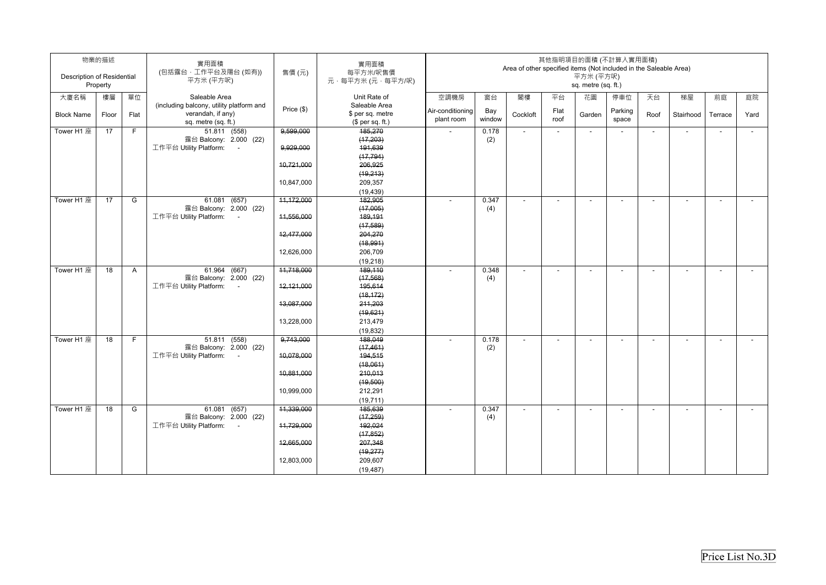| Description of Residential | 物業的描述<br>Property |      | 實用面積<br>(包括露台,工作平台及陽台(如有))<br>平方米 (平方呎)                                              | 售價(元)      | 實用面積<br>每平方米/呎售價<br>元,每平方米 (元,每平方/呎)                  |                                |               | Area of other specified items (Not included in the Saleable Area) |                          | 其他指明項目的面積 (不計算入實用面積)<br>平方米 (平方呎)<br>sq. metre (sq. ft.) |                          |                          |                          |                          |                |
|----------------------------|-------------------|------|--------------------------------------------------------------------------------------|------------|-------------------------------------------------------|--------------------------------|---------------|-------------------------------------------------------------------|--------------------------|----------------------------------------------------------|--------------------------|--------------------------|--------------------------|--------------------------|----------------|
| 大廈名稱                       | 樓層                | 單位   | Saleable Area                                                                        |            | Unit Rate of                                          | 空調機房                           | 窗台            | 閣樓                                                                | 平台                       | 花園                                                       | 停車位                      | 天台                       | 梯屋                       | 前庭                       | 庭院             |
| <b>Block Name</b>          | Floor             | Flat | (including balcony, utility platform and<br>verandah, if any)<br>sq. metre (sq. ft.) | Price (\$) | Saleable Area<br>\$ per sq. metre<br>(\$ per sq. ft.) | Air-conditioning<br>plant room | Bay<br>window | Cockloft                                                          | Flat<br>roof             | Garden                                                   | Parking<br>space         | Roof                     | Stairhood                | Terrace                  | Yard           |
| Tower H1 座                 | 17                | F.   | 51.811 (558)                                                                         | 9,599,000  | 185,270                                               |                                | 0.178         |                                                                   | $\overline{\phantom{a}}$ | $\overline{\phantom{a}}$                                 |                          | $\blacksquare$           | $\overline{a}$           | $\overline{\phantom{a}}$ | $\blacksquare$ |
|                            |                   |      | 露台 Balcony: 2.000 (22)                                                               |            | (17, 203)                                             |                                | (2)           |                                                                   |                          |                                                          |                          |                          |                          |                          |                |
|                            |                   |      | 工作平台 Utility Platform: -                                                             | 9,929,000  | 191,639<br>(17, 794)                                  |                                |               |                                                                   |                          |                                                          |                          |                          |                          |                          |                |
|                            |                   |      |                                                                                      | 10.721.000 | 206,925                                               |                                |               |                                                                   |                          |                                                          |                          |                          |                          |                          |                |
|                            |                   |      |                                                                                      |            | (19, 213)                                             |                                |               |                                                                   |                          |                                                          |                          |                          |                          |                          |                |
|                            |                   |      |                                                                                      | 10,847,000 | 209,357                                               |                                |               |                                                                   |                          |                                                          |                          |                          |                          |                          |                |
|                            |                   |      |                                                                                      |            | (19, 439)                                             |                                |               |                                                                   |                          |                                                          |                          |                          |                          |                          |                |
| Tower H1 座                 | 17                | G    | 61.081 (657)                                                                         | 11,172,000 | 182,905                                               | $\overline{a}$                 | 0.347         | $\overline{\phantom{a}}$                                          | $\blacksquare$           | $\blacksquare$                                           | $\overline{a}$           | $\blacksquare$           | $\overline{a}$           | $\blacksquare$           | $\overline{a}$ |
|                            |                   |      | 露台 Balcony: 2.000 (22)                                                               |            | (17,005)                                              |                                | (4)           |                                                                   |                          |                                                          |                          |                          |                          |                          |                |
|                            |                   |      | 工作平台 Utility Platform:<br>$\sim$                                                     | 11,556,000 | 189,191                                               |                                |               |                                                                   |                          |                                                          |                          |                          |                          |                          |                |
|                            |                   |      |                                                                                      | 12,477,000 | (17,589)<br>204,270                                   |                                |               |                                                                   |                          |                                                          |                          |                          |                          |                          |                |
|                            |                   |      |                                                                                      |            | (18, 991)                                             |                                |               |                                                                   |                          |                                                          |                          |                          |                          |                          |                |
|                            |                   |      |                                                                                      | 12,626,000 | 206,709                                               |                                |               |                                                                   |                          |                                                          |                          |                          |                          |                          |                |
|                            |                   |      |                                                                                      |            | (19, 218)                                             |                                |               |                                                                   |                          |                                                          |                          |                          |                          |                          |                |
| Tower H1 座                 | 18                | A    | 61.964 (667)                                                                         | 11,718,000 | 189,110                                               |                                | 0.348         | $\overline{\phantom{a}}$                                          | $\overline{\phantom{a}}$ | $\overline{\phantom{a}}$                                 | $\overline{\phantom{a}}$ | $\overline{\phantom{a}}$ | $\overline{\phantom{a}}$ | $\overline{\phantom{a}}$ |                |
|                            |                   |      | 露台 Balcony: 2.000 (22)                                                               |            | (17, 568)                                             |                                | (4)           |                                                                   |                          |                                                          |                          |                          |                          |                          |                |
|                            |                   |      | 工作平台 Utility Platform: -                                                             | 12,121,000 | 195,614                                               |                                |               |                                                                   |                          |                                                          |                          |                          |                          |                          |                |
|                            |                   |      |                                                                                      |            | (18, 172)                                             |                                |               |                                                                   |                          |                                                          |                          |                          |                          |                          |                |
|                            |                   |      |                                                                                      | 13,087,000 | 211,203                                               |                                |               |                                                                   |                          |                                                          |                          |                          |                          |                          |                |
|                            |                   |      |                                                                                      |            | (19,621)                                              |                                |               |                                                                   |                          |                                                          |                          |                          |                          |                          |                |
|                            |                   |      |                                                                                      | 13,228,000 | 213,479                                               |                                |               |                                                                   |                          |                                                          |                          |                          |                          |                          |                |
|                            |                   |      |                                                                                      |            | (19, 832)                                             |                                |               |                                                                   |                          |                                                          |                          |                          |                          |                          |                |
| Tower H1 座                 | 18                | F    | 51.811 (558)<br>露台 Balcony: 2.000 (22)                                               | 9,743,000  | 188,049<br>(17, 461)                                  | $\overline{\phantom{a}}$       | 0.178<br>(2)  | $\blacksquare$                                                    | $\overline{\phantom{a}}$ | $\overline{\phantom{a}}$                                 | $\overline{a}$           | $\blacksquare$           | $\overline{a}$           |                          |                |
|                            |                   |      | 工作平台 Utility Platform: -                                                             | 10,078,000 | 194,515                                               |                                |               |                                                                   |                          |                                                          |                          |                          |                          |                          |                |
|                            |                   |      |                                                                                      |            | (18,061)                                              |                                |               |                                                                   |                          |                                                          |                          |                          |                          |                          |                |
|                            |                   |      |                                                                                      | 10,881,000 | 210,013                                               |                                |               |                                                                   |                          |                                                          |                          |                          |                          |                          |                |
|                            |                   |      |                                                                                      |            | (19,500)                                              |                                |               |                                                                   |                          |                                                          |                          |                          |                          |                          |                |
|                            |                   |      |                                                                                      | 10,999,000 | 212,291                                               |                                |               |                                                                   |                          |                                                          |                          |                          |                          |                          |                |
|                            |                   |      |                                                                                      |            | (19, 711)                                             |                                |               |                                                                   |                          |                                                          |                          |                          |                          |                          |                |
| Tower H1 座                 | 18                | G    | 61.081 (657)                                                                         | 11,339,000 | 185,639                                               |                                | 0.347         | $\overline{\phantom{a}}$                                          | $\overline{\phantom{a}}$ | $\overline{\phantom{a}}$                                 | $\overline{\phantom{a}}$ | $\overline{a}$           | $\overline{\phantom{a}}$ | $\overline{\phantom{a}}$ | $\blacksquare$ |
|                            |                   |      | 露台 Balcony: 2.000 (22)<br>工作平台 Utility Platform: -                                   | 11,729,000 | (17, 259)<br>192,024                                  |                                | (4)           |                                                                   |                          |                                                          |                          |                          |                          |                          |                |
|                            |                   |      |                                                                                      |            | (17, 852)                                             |                                |               |                                                                   |                          |                                                          |                          |                          |                          |                          |                |
|                            |                   |      |                                                                                      | 12,665,000 | 207,348                                               |                                |               |                                                                   |                          |                                                          |                          |                          |                          |                          |                |
|                            |                   |      |                                                                                      |            | (19, 277)                                             |                                |               |                                                                   |                          |                                                          |                          |                          |                          |                          |                |
|                            |                   |      |                                                                                      | 12,803,000 | 209,607                                               |                                |               |                                                                   |                          |                                                          |                          |                          |                          |                          |                |
|                            |                   |      |                                                                                      |            | (19, 487)                                             |                                |               |                                                                   |                          |                                                          |                          |                          |                          |                          |                |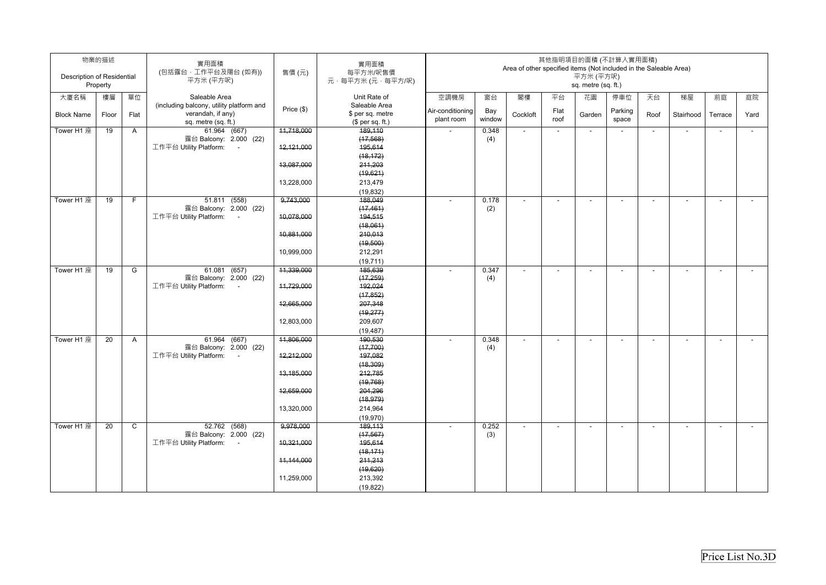| <b>Description of Residential</b> | 物業的描述<br>Property |            | 實用面積<br>(包括露台,工作平台及陽台(如有))<br>平方米 (平方呎)                                        | 售價(元)        | 實用面積<br>每平方米/呎售價<br>元·每平方米 (元·每平方/呎)              |                                        |                     | Area of other specified items (Not included in the Saleable Area) |                          | 平方米 (平方呎)<br>sq. metre (sq. ft.) | 其他指明項目的面積 (不計算入實用面積)     |                          |                          |                          |            |
|-----------------------------------|-------------------|------------|--------------------------------------------------------------------------------|--------------|---------------------------------------------------|----------------------------------------|---------------------|-------------------------------------------------------------------|--------------------------|----------------------------------|--------------------------|--------------------------|--------------------------|--------------------------|------------|
| 大廈名稱<br><b>Block Name</b>         | 樓層<br>Floor       | 單位<br>Flat | Saleable Area<br>(including balcony, utility platform and<br>verandah, if any) | Price (\$)   | Unit Rate of<br>Saleable Area<br>\$ per sq. metre | 空調機房<br>Air-conditioning<br>plant room | 窗台<br>Bay<br>window | 閣樓<br>Cockloft                                                    | 平台<br>Flat<br>roof       | 花園<br>Garden                     | 停車位<br>Parking<br>space  | 天台<br>Roof               | 梯屋<br>Stairhood          | 前庭<br>Terrace            | 庭院<br>Yard |
| Tower H1 座                        | 19                | A          | sq. metre (sq. ft.)<br>61.964 (667)                                            | 11,718,000   | (\$ per sq. ft.)<br>189,110                       |                                        | 0.348               | $\overline{a}$                                                    | $\overline{\phantom{a}}$ | $\blacksquare$                   | $\overline{\phantom{a}}$ | $\blacksquare$           | $\overline{\phantom{a}}$ | $\overline{\phantom{a}}$ | $\sim$     |
|                                   |                   |            | 露台 Balcony: 2.000 (22)<br>工作平台 Utility Platform:<br>$\sim$ $-$                 | 12,121,000   | (17, 568)<br>195,614                              |                                        | (4)                 |                                                                   |                          |                                  |                          |                          |                          |                          |            |
|                                   |                   |            |                                                                                |              | (18, 172)                                         |                                        |                     |                                                                   |                          |                                  |                          |                          |                          |                          |            |
|                                   |                   |            |                                                                                | 13,087,000   | 211,203<br>(19,621)                               |                                        |                     |                                                                   |                          |                                  |                          |                          |                          |                          |            |
|                                   |                   |            |                                                                                | 13,228,000   | 213,479                                           |                                        |                     |                                                                   |                          |                                  |                          |                          |                          |                          |            |
| Tower H1 座                        | 19                | F.         | 51.811 (558)                                                                   | 9,743,000    | (19, 832)<br>188,049                              | $\sim$                                 | 0.178               | $\overline{a}$                                                    | $\overline{\phantom{a}}$ | $\overline{a}$                   | $\overline{a}$           | $\overline{\phantom{a}}$ | $\overline{\phantom{a}}$ | $\overline{\phantom{a}}$ |            |
|                                   |                   |            | 露台 Balcony: 2.000 (22)                                                         |              | (17, 461)                                         |                                        | (2)                 |                                                                   |                          |                                  |                          |                          |                          |                          |            |
|                                   |                   |            | 工作平台 Utility Platform: -                                                       | 10,078,000   | 194,515                                           |                                        |                     |                                                                   |                          |                                  |                          |                          |                          |                          |            |
|                                   |                   |            |                                                                                | 10,881,000   | (18,061)<br>210,013                               |                                        |                     |                                                                   |                          |                                  |                          |                          |                          |                          |            |
|                                   |                   |            |                                                                                |              | (19,500)                                          |                                        |                     |                                                                   |                          |                                  |                          |                          |                          |                          |            |
|                                   |                   |            |                                                                                | 10,999,000   | 212,291                                           |                                        |                     |                                                                   |                          |                                  |                          |                          |                          |                          |            |
| Tower H1 座                        | 19                | G          | $61.081$ (657)                                                                 | 44,339,000   | (19, 711)<br>185,639                              | $\sim$                                 | 0.347               | $\overline{a}$                                                    | $\overline{\phantom{a}}$ | $\overline{\phantom{a}}$         | $\overline{\phantom{a}}$ | $\overline{\phantom{a}}$ | $\overline{\phantom{0}}$ | $\overline{a}$           |            |
|                                   |                   |            | 露台 Balcony: 2.000 (22)                                                         |              | (17, 259)                                         |                                        | (4)                 |                                                                   |                          |                                  |                          |                          |                          |                          |            |
|                                   |                   |            | 工作平台 Utility Platform: -                                                       | 11,729,000   | 192,024<br>(17, 852)                              |                                        |                     |                                                                   |                          |                                  |                          |                          |                          |                          |            |
|                                   |                   |            |                                                                                | 12,665,000   | 207,348                                           |                                        |                     |                                                                   |                          |                                  |                          |                          |                          |                          |            |
|                                   |                   |            |                                                                                |              | (19, 277)                                         |                                        |                     |                                                                   |                          |                                  |                          |                          |                          |                          |            |
|                                   |                   |            |                                                                                | 12,803,000   | 209,607                                           |                                        |                     |                                                                   |                          |                                  |                          |                          |                          |                          |            |
| Tower H1 座                        | 20                | A          | 61.964 (667)                                                                   | 11,806,000   | (19, 487)<br>190,530                              |                                        | 0.348               |                                                                   | $\overline{\phantom{a}}$ |                                  | $\blacksquare$           | $\blacksquare$           | $\overline{\phantom{a}}$ |                          |            |
|                                   |                   |            | 露台 Balcony: 2.000 (22)                                                         |              | (17,700)                                          |                                        | (4)                 |                                                                   |                          |                                  |                          |                          |                          |                          |            |
|                                   |                   |            | 工作平台 Utility Platform: -                                                       | 12,212,000   | 197,082<br>(18,309)                               |                                        |                     |                                                                   |                          |                                  |                          |                          |                          |                          |            |
|                                   |                   |            |                                                                                | 43, 185, 000 | 212,785                                           |                                        |                     |                                                                   |                          |                                  |                          |                          |                          |                          |            |
|                                   |                   |            |                                                                                |              | (19, 768)                                         |                                        |                     |                                                                   |                          |                                  |                          |                          |                          |                          |            |
|                                   |                   |            |                                                                                | 12,659,000   | 204,296<br>(18, 979)                              |                                        |                     |                                                                   |                          |                                  |                          |                          |                          |                          |            |
|                                   |                   |            |                                                                                | 13,320,000   | 214,964                                           |                                        |                     |                                                                   |                          |                                  |                          |                          |                          |                          |            |
|                                   |                   |            |                                                                                |              | (19,970)                                          |                                        |                     |                                                                   |                          |                                  |                          |                          |                          |                          |            |
| Tower H1 座                        | 20                | C          | 52.762 (568)<br>露台 Balcony: 2.000 (22)                                         | 9,978,000    | 189,113<br>(17, 567)                              |                                        | 0.252<br>(3)        | $\overline{a}$                                                    | $\overline{\phantom{a}}$ | $\overline{\phantom{a}}$         | $\overline{\phantom{a}}$ | $\overline{\phantom{a}}$ | $\overline{\phantom{a}}$ |                          |            |
|                                   |                   |            | 工作平台 Utility Platform: -                                                       | 10,321,000   | 195,614                                           |                                        |                     |                                                                   |                          |                                  |                          |                          |                          |                          |            |
|                                   |                   |            |                                                                                |              | (18, 171)                                         |                                        |                     |                                                                   |                          |                                  |                          |                          |                          |                          |            |
|                                   |                   |            |                                                                                | 11,144,000   | 211,213<br>(19,620)                               |                                        |                     |                                                                   |                          |                                  |                          |                          |                          |                          |            |
|                                   |                   |            |                                                                                | 11,259,000   | 213,392                                           |                                        |                     |                                                                   |                          |                                  |                          |                          |                          |                          |            |
|                                   |                   |            |                                                                                |              | (19, 822)                                         |                                        |                     |                                                                   |                          |                                  |                          |                          |                          |                          |            |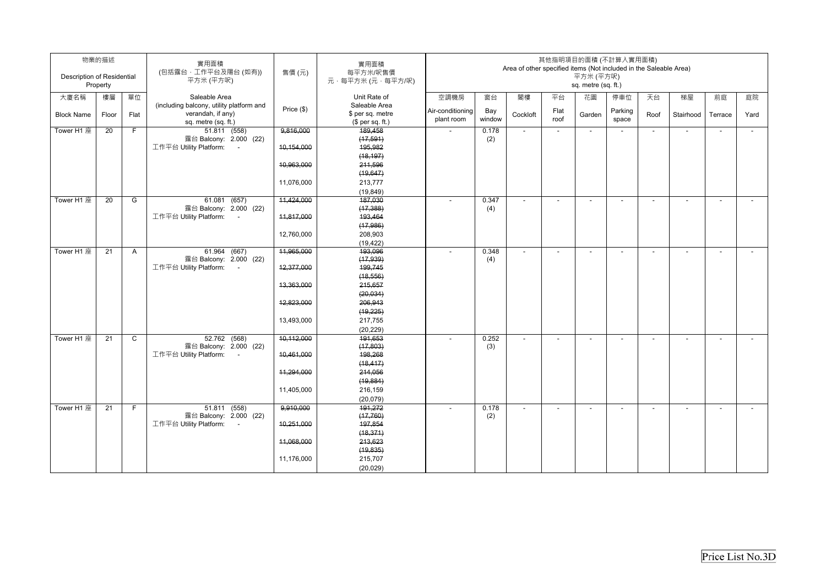| Description of Residential | 物業的描述<br>Property |                | 實用面積<br>(包括露台,工作平台及陽台(如有))<br>平方米 (平方呎)                                              | 售價(元)      | 實用面積<br>每平方米/呎售價<br>元·每平方米 (元·每平方/呎)                  |                                |               | Area of other specified items (Not included in the Saleable Area) |                          | 平方米 (平方呎)<br>sq. metre (sq. ft.) | 其他指明項目的面積 (不計算入實用面積)     |                |                          |                          |                          |
|----------------------------|-------------------|----------------|--------------------------------------------------------------------------------------|------------|-------------------------------------------------------|--------------------------------|---------------|-------------------------------------------------------------------|--------------------------|----------------------------------|--------------------------|----------------|--------------------------|--------------------------|--------------------------|
| 大廈名稱                       | 樓層                | 單位             | Saleable Area                                                                        |            | Unit Rate of                                          | 空調機房                           | 窗台            | 閣樓                                                                | 平台                       | 花園                               | 停車位                      | 天台             | 梯屋                       | 前庭                       | 庭院                       |
| <b>Block Name</b>          | Floor             | Flat           | (including balcony, utility platform and<br>verandah, if any)<br>sq. metre (sq. ft.) | Price (\$) | Saleable Area<br>\$ per sq. metre<br>(\$ per sq. ft.) | Air-conditioning<br>plant room | Bay<br>window | Cockloft                                                          | Flat<br>roof             | Garden                           | Parking<br>space         | Roof           | Stairhood                | Terrace                  | Yard                     |
| Tower H1 座                 | 20                | $\overline{F}$ | 51.811 (558)                                                                         | 9,816,000  | 189,458                                               |                                | 0.178         |                                                                   | $\overline{\phantom{a}}$ | $\overline{\phantom{a}}$         |                          |                | $\overline{\phantom{a}}$ |                          | $\overline{\phantom{a}}$ |
|                            |                   |                | 露台 Balcony: 2.000 (22)                                                               |            | (17, 591)                                             |                                | (2)           |                                                                   |                          |                                  |                          |                |                          |                          |                          |
|                            |                   |                | 工作平台 Utility Platform: -                                                             | 10,154,000 | 195,982<br>(18, 197)                                  |                                |               |                                                                   |                          |                                  |                          |                |                          |                          |                          |
|                            |                   |                |                                                                                      | 10,963,000 | 211,596                                               |                                |               |                                                                   |                          |                                  |                          |                |                          |                          |                          |
|                            |                   |                |                                                                                      |            | (19, 647)                                             |                                |               |                                                                   |                          |                                  |                          |                |                          |                          |                          |
|                            |                   |                |                                                                                      | 11,076,000 | 213,777                                               |                                |               |                                                                   |                          |                                  |                          |                |                          |                          |                          |
|                            |                   |                |                                                                                      |            | (19, 849)                                             |                                |               |                                                                   |                          |                                  |                          |                |                          |                          |                          |
| Tower H1 座                 | 20                | G              | 61.081 (657)                                                                         | 11,424,000 | 487,030                                               |                                | 0.347         | $\overline{\phantom{a}}$                                          | $\overline{a}$           | $\overline{\phantom{a}}$         | $\overline{\phantom{a}}$ | $\overline{a}$ | $\overline{a}$           | $\sim$                   | $\sim$                   |
|                            |                   |                | 露台 Balcony: 2.000 (22)                                                               |            | (17, 388)                                             |                                | (4)           |                                                                   |                          |                                  |                          |                |                          |                          |                          |
|                            |                   |                | 工作平台 Utility Platform: -                                                             | 11,817,000 | 193,464                                               |                                |               |                                                                   |                          |                                  |                          |                |                          |                          |                          |
|                            |                   |                |                                                                                      |            | (17,986)                                              |                                |               |                                                                   |                          |                                  |                          |                |                          |                          |                          |
|                            |                   |                |                                                                                      | 12,760,000 | 208,903<br>(19, 422)                                  |                                |               |                                                                   |                          |                                  |                          |                |                          |                          |                          |
| Tower H1 座                 | 21                | A              | 61.964 (667)                                                                         | 11,965,000 | 193,096                                               |                                | 0.348         | $\sim$                                                            | $\overline{\phantom{a}}$ | $\overline{\phantom{a}}$         | $\overline{\phantom{a}}$ | $\overline{a}$ | $\overline{\phantom{a}}$ | $\overline{\phantom{a}}$ |                          |
|                            |                   |                | 露台 Balcony: 2.000 (22)                                                               |            | (17, 939)                                             |                                | (4)           |                                                                   |                          |                                  |                          |                |                          |                          |                          |
|                            |                   |                | 工作平台 Utility Platform: -                                                             | 12,377,000 | 199,745                                               |                                |               |                                                                   |                          |                                  |                          |                |                          |                          |                          |
|                            |                   |                |                                                                                      |            | (18, 556)                                             |                                |               |                                                                   |                          |                                  |                          |                |                          |                          |                          |
|                            |                   |                |                                                                                      | 13,363,000 | 215,657                                               |                                |               |                                                                   |                          |                                  |                          |                |                          |                          |                          |
|                            |                   |                |                                                                                      |            | (20, 034)                                             |                                |               |                                                                   |                          |                                  |                          |                |                          |                          |                          |
|                            |                   |                |                                                                                      | 12,823,000 | 206,943                                               |                                |               |                                                                   |                          |                                  |                          |                |                          |                          |                          |
|                            |                   |                |                                                                                      |            | (19, 225)                                             |                                |               |                                                                   |                          |                                  |                          |                |                          |                          |                          |
|                            |                   |                |                                                                                      | 13,493,000 | 217,755                                               |                                |               |                                                                   |                          |                                  |                          |                |                          |                          |                          |
|                            |                   |                |                                                                                      |            | (20, 229)                                             |                                |               |                                                                   |                          |                                  |                          |                |                          |                          |                          |
| Tower H1 座                 | 21                | $\mathsf{C}$   | 52.762 (568)<br>露台 Balcony: 2.000 (22)                                               | 10,112,000 | 191,653<br>(17, 803)                                  |                                | 0.252<br>(3)  | $\sim$                                                            | $\overline{\phantom{a}}$ | $\overline{\phantom{a}}$         | ÷,                       | $\blacksquare$ | $\overline{a}$           | $\overline{a}$           | $\overline{a}$           |
|                            |                   |                | 工作平台 Utility Platform: -                                                             | 10,461,000 | 198,268                                               |                                |               |                                                                   |                          |                                  |                          |                |                          |                          |                          |
|                            |                   |                |                                                                                      |            | (18, 417)                                             |                                |               |                                                                   |                          |                                  |                          |                |                          |                          |                          |
|                            |                   |                |                                                                                      | 11,294,000 | 214,056                                               |                                |               |                                                                   |                          |                                  |                          |                |                          |                          |                          |
|                            |                   |                |                                                                                      |            | (19, 884)                                             |                                |               |                                                                   |                          |                                  |                          |                |                          |                          |                          |
|                            |                   |                |                                                                                      | 11,405,000 | 216,159                                               |                                |               |                                                                   |                          |                                  |                          |                |                          |                          |                          |
|                            |                   |                |                                                                                      |            | (20,079)                                              |                                |               |                                                                   |                          |                                  |                          |                |                          |                          |                          |
| Tower H1 座                 | 21                | F              | 51.811 (558)                                                                         | 9,910,000  | 191,272                                               |                                | 0.178         | $\overline{\phantom{a}}$                                          | $\overline{\phantom{a}}$ | $\overline{\phantom{a}}$         | $\overline{\phantom{a}}$ | $\overline{a}$ | $\overline{\phantom{a}}$ | $\overline{\phantom{a}}$ | $\overline{\phantom{a}}$ |
|                            |                   |                | 露台 Balcony: 2.000 (22)                                                               |            | (17, 760)                                             |                                | (2)           |                                                                   |                          |                                  |                          |                |                          |                          |                          |
|                            |                   |                | 工作平台 Utility Platform: -                                                             | 10,251,000 | 197,854<br>(18, 371)                                  |                                |               |                                                                   |                          |                                  |                          |                |                          |                          |                          |
|                            |                   |                |                                                                                      | 11,068,000 | 213,623                                               |                                |               |                                                                   |                          |                                  |                          |                |                          |                          |                          |
|                            |                   |                |                                                                                      |            | (19, 835)                                             |                                |               |                                                                   |                          |                                  |                          |                |                          |                          |                          |
|                            |                   |                |                                                                                      | 11,176,000 | 215,707                                               |                                |               |                                                                   |                          |                                  |                          |                |                          |                          |                          |
|                            |                   |                |                                                                                      |            | (20, 029)                                             |                                |               |                                                                   |                          |                                  |                          |                |                          |                          |                          |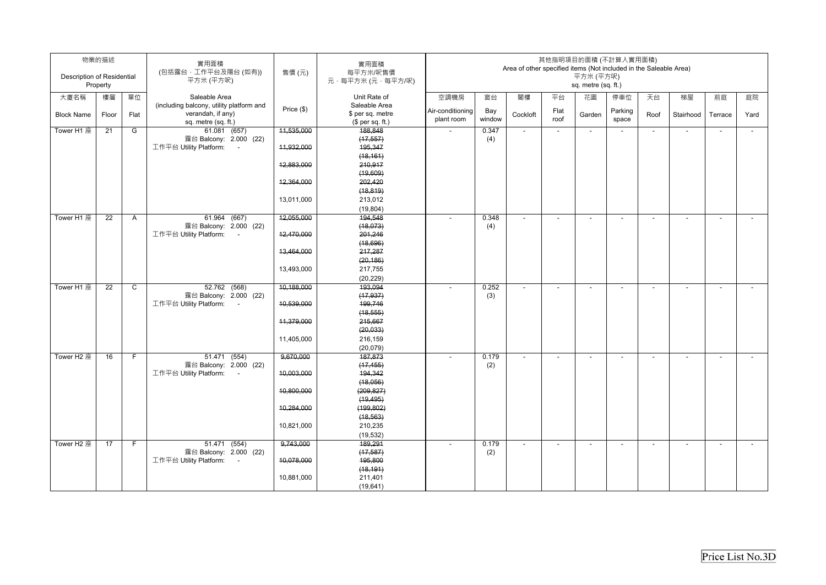| Description of Residential | 物業的描述<br>Property |                | 實用面積<br>(包括露台,工作平台及陽台(如有))<br>平方米 (平方呎)                                              | 售價(元)      | 實用面積<br>每平方米/呎售價<br>元,每平方米 (元,每平方/呎)                  |                                |               | Area of other specified items (Not included in the Saleable Area) |                          | 平方米 (平方呎)<br>sq. metre (sq. ft.) | 其他指明項目的面積 (不計算入實用面積)     |                          |                          |                          |                |
|----------------------------|-------------------|----------------|--------------------------------------------------------------------------------------|------------|-------------------------------------------------------|--------------------------------|---------------|-------------------------------------------------------------------|--------------------------|----------------------------------|--------------------------|--------------------------|--------------------------|--------------------------|----------------|
| 大廈名稱                       | 樓層                | 單位             | Saleable Area                                                                        |            | Unit Rate of                                          | 空調機房                           | 窗台            | 閣樓                                                                | 平台                       | 花園                               | 停車位                      | 天台                       | 梯屋                       | 前庭                       | 庭院             |
| <b>Block Name</b>          | Floor             | Flat           | (including balcony, utility platform and<br>verandah, if any)<br>sq. metre (sq. ft.) | Price (\$) | Saleable Area<br>\$ per sq. metre<br>(\$ per sq. ft.) | Air-conditioning<br>plant room | Bay<br>window | Cockloft                                                          | Flat<br>roof             | Garden                           | Parking<br>space         | Roof                     | Stairhood                | Terrace                  | Yard           |
| Tower H1 座                 | 21                | G              | $61.081$ (657)                                                                       | 11,535,000 | 188,848                                               |                                | 0.347         | $\overline{a}$                                                    | $\overline{a}$           | $\overline{a}$                   | $\overline{a}$           | $\overline{a}$           | $\overline{a}$           | $\overline{\phantom{a}}$ | $\overline{a}$ |
|                            |                   |                | 露台 Balcony: 2.000 (22)<br>工作平台 Utility Platform: -                                   | 11,932,000 | (17, 557)<br>195,347                                  |                                | (4)           |                                                                   |                          |                                  |                          |                          |                          |                          |                |
|                            |                   |                |                                                                                      |            | (18, 161)                                             |                                |               |                                                                   |                          |                                  |                          |                          |                          |                          |                |
|                            |                   |                |                                                                                      | 12,883,000 | 210,917                                               |                                |               |                                                                   |                          |                                  |                          |                          |                          |                          |                |
|                            |                   |                |                                                                                      |            | (19,609)                                              |                                |               |                                                                   |                          |                                  |                          |                          |                          |                          |                |
|                            |                   |                |                                                                                      | 12,364,000 | 202,420                                               |                                |               |                                                                   |                          |                                  |                          |                          |                          |                          |                |
|                            |                   |                |                                                                                      |            | (18, 819)                                             |                                |               |                                                                   |                          |                                  |                          |                          |                          |                          |                |
|                            |                   |                |                                                                                      | 13,011,000 | 213,012                                               |                                |               |                                                                   |                          |                                  |                          |                          |                          |                          |                |
|                            |                   |                |                                                                                      |            | (19, 804)                                             |                                |               |                                                                   |                          |                                  |                          |                          |                          |                          |                |
| Tower H1 座                 | 22                | Α              | 61.964 (667)                                                                         | 12,055,000 | 194,548                                               |                                | 0.348         | $\overline{a}$                                                    | $\overline{\phantom{a}}$ | $\overline{\phantom{a}}$         | $\overline{a}$           | $\overline{a}$           | $\overline{a}$           | $\overline{a}$           |                |
|                            |                   |                | 露台 Balcony: 2.000 (22)                                                               |            | (18,073)                                              |                                | (4)           |                                                                   |                          |                                  |                          |                          |                          |                          |                |
|                            |                   |                | 工作平台 Utility Platform: -                                                             | 42,470,000 | 201,246<br>(18, 696)                                  |                                |               |                                                                   |                          |                                  |                          |                          |                          |                          |                |
|                            |                   |                |                                                                                      | 13,464,000 | 217,287                                               |                                |               |                                                                   |                          |                                  |                          |                          |                          |                          |                |
|                            |                   |                |                                                                                      |            | (20, 186)                                             |                                |               |                                                                   |                          |                                  |                          |                          |                          |                          |                |
|                            |                   |                |                                                                                      | 13,493,000 | 217,755                                               |                                |               |                                                                   |                          |                                  |                          |                          |                          |                          |                |
|                            |                   |                |                                                                                      |            | (20, 229)                                             |                                |               |                                                                   |                          |                                  |                          |                          |                          |                          |                |
| Tower H1 座                 | 22                | $\mathsf{C}$   | 52.762 (568)                                                                         | 10,188,000 | 193.094                                               |                                | 0.252         | $\overline{\phantom{a}}$                                          | $\blacksquare$           | $\overline{\phantom{a}}$         | $\overline{a}$           | $\overline{\phantom{a}}$ | $\overline{a}$           | $\overline{\phantom{a}}$ | $\overline{a}$ |
|                            |                   |                | 露台 Balcony: 2.000 (22)                                                               |            | (17, 937)                                             |                                | (3)           |                                                                   |                          |                                  |                          |                          |                          |                          |                |
|                            |                   |                | 工作平台 Utility Platform: -                                                             | 10,539,000 | 199,746                                               |                                |               |                                                                   |                          |                                  |                          |                          |                          |                          |                |
|                            |                   |                |                                                                                      | 11,379,000 | (18, 555)<br>215,667                                  |                                |               |                                                                   |                          |                                  |                          |                          |                          |                          |                |
|                            |                   |                |                                                                                      |            | (20, 033)                                             |                                |               |                                                                   |                          |                                  |                          |                          |                          |                          |                |
|                            |                   |                |                                                                                      | 11,405,000 | 216,159                                               |                                |               |                                                                   |                          |                                  |                          |                          |                          |                          |                |
|                            |                   |                |                                                                                      |            | (20,079)                                              |                                |               |                                                                   |                          |                                  |                          |                          |                          |                          |                |
| Tower H2 座                 | 16                | $\overline{F}$ | 51.471(554)                                                                          | 9,670,000  | 187,873                                               |                                | 0.179         |                                                                   | $\overline{\phantom{a}}$ | $\overline{a}$                   | $\overline{\phantom{a}}$ | $\overline{\phantom{a}}$ | $\overline{\phantom{a}}$ |                          | $\overline{a}$ |
|                            |                   |                | 露台 Balcony: 2.000 (22)                                                               |            | (17, 455)                                             |                                | (2)           |                                                                   |                          |                                  |                          |                          |                          |                          |                |
|                            |                   |                | 工作平台 Utility Platform: -                                                             | 10,003,000 | 194,342                                               |                                |               |                                                                   |                          |                                  |                          |                          |                          |                          |                |
|                            |                   |                |                                                                                      |            | (18,056)                                              |                                |               |                                                                   |                          |                                  |                          |                          |                          |                          |                |
|                            |                   |                |                                                                                      | 10,800,000 | (209, 827)                                            |                                |               |                                                                   |                          |                                  |                          |                          |                          |                          |                |
|                            |                   |                |                                                                                      | 10,284,000 | (19, 495)<br>(199, 802)                               |                                |               |                                                                   |                          |                                  |                          |                          |                          |                          |                |
|                            |                   |                |                                                                                      |            | (18, 563)                                             |                                |               |                                                                   |                          |                                  |                          |                          |                          |                          |                |
|                            |                   |                |                                                                                      | 10,821,000 | 210,235                                               |                                |               |                                                                   |                          |                                  |                          |                          |                          |                          |                |
|                            |                   |                |                                                                                      |            | (19, 532)                                             |                                |               |                                                                   |                          |                                  |                          |                          |                          |                          |                |
| Tower H2 座                 | 17                | F.             | 51.471(554)                                                                          | 9,743,000  | 189,291                                               | $\sim$                         | 0.179         | $\overline{a}$                                                    | $\overline{\phantom{a}}$ | $\overline{\phantom{a}}$         | $\overline{\phantom{a}}$ | $\overline{a}$           | $\overline{a}$           | $\overline{a}$           | $\overline{a}$ |
|                            |                   |                | 露台 Balcony: 2.000 (22)                                                               |            | (17, 587)                                             |                                | (2)           |                                                                   |                          |                                  |                          |                          |                          |                          |                |
|                            |                   |                | 工作平台 Utility Platform: -                                                             | 40,078,000 | 195,800                                               |                                |               |                                                                   |                          |                                  |                          |                          |                          |                          |                |
|                            |                   |                |                                                                                      |            | (18, 191)                                             |                                |               |                                                                   |                          |                                  |                          |                          |                          |                          |                |
|                            |                   |                |                                                                                      | 10,881,000 | 211,401<br>(19, 641)                                  |                                |               |                                                                   |                          |                                  |                          |                          |                          |                          |                |
|                            |                   |                |                                                                                      |            |                                                       |                                |               |                                                                   |                          |                                  |                          |                          |                          |                          |                |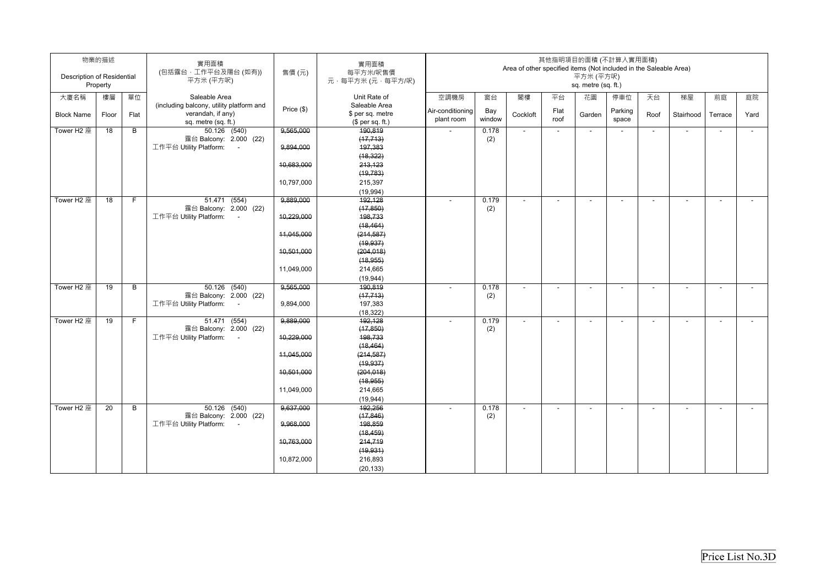| Description of Residential | 物業的描述<br>Property |                | 實用面積<br>(包括露台,工作平台及陽台(如有))<br>平方米 (平方呎)                                              | 售價(元)      | 實用面積<br>每平方米/呎售價<br>元,每平方米 (元,每平方/呎)                  |                                |               | Area of other specified items (Not included in the Saleable Area) |                          | 平方米 (平方呎)<br>sq. metre (sq. ft.) | 其他指明項目的面積 (不計算入實用面積)     |                          |                          |                |      |
|----------------------------|-------------------|----------------|--------------------------------------------------------------------------------------|------------|-------------------------------------------------------|--------------------------------|---------------|-------------------------------------------------------------------|--------------------------|----------------------------------|--------------------------|--------------------------|--------------------------|----------------|------|
| 大廈名稱                       | 樓層                | 單位             | Saleable Area                                                                        |            | Unit Rate of                                          | 空調機房                           | 窗台            | 閣樓                                                                | 平台                       | 花園                               | 停車位                      | 天台                       | 梯屋                       | 前庭             | 庭院   |
| <b>Block Name</b>          | Floor             | Flat           | (including balcony, utility platform and<br>verandah, if any)<br>sq. metre (sq. ft.) | Price (\$) | Saleable Area<br>\$ per sq. metre<br>(\$ per sq. ft.) | Air-conditioning<br>plant room | Bay<br>window | Cockloft                                                          | Flat<br>roof             | Garden                           | Parking<br>space         | Roof                     | Stairhood                | Terrace        | Yard |
| Tower H2 座                 | 18                | $\overline{B}$ | 50.126 (540)                                                                         | 9,565,000  | 190,819<br>(17, 713)                                  |                                | 0.178         |                                                                   | $\overline{\phantom{a}}$ |                                  |                          |                          |                          |                |      |
|                            |                   |                | 露台 Balcony: 2.000 (22)<br>工作平台 Utility Platform: -                                   | 9,894,000  | 197,383                                               |                                | (2)           |                                                                   |                          |                                  |                          |                          |                          |                |      |
|                            |                   |                |                                                                                      |            | (18, 322)                                             |                                |               |                                                                   |                          |                                  |                          |                          |                          |                |      |
|                            |                   |                |                                                                                      | 10,683,000 | 213,123                                               |                                |               |                                                                   |                          |                                  |                          |                          |                          |                |      |
|                            |                   |                |                                                                                      |            | (19, 783)                                             |                                |               |                                                                   |                          |                                  |                          |                          |                          |                |      |
|                            |                   |                |                                                                                      | 10,797,000 | 215,397                                               |                                |               |                                                                   |                          |                                  |                          |                          |                          |                |      |
|                            |                   |                |                                                                                      |            | (19, 994)                                             |                                |               |                                                                   |                          |                                  |                          |                          |                          |                |      |
| Tower H2 座                 | 18                | F              | 51.471 (554)                                                                         | 9,889,000  | 192,128                                               |                                | 0.179         | $\overline{a}$                                                    | $\overline{a}$           | $\overline{\phantom{a}}$         | $\overline{\phantom{a}}$ | $\overline{a}$           | $\sim$                   | $\overline{a}$ |      |
|                            |                   |                | 露台 Balcony: 2.000 (22)                                                               |            | (17, 850)                                             |                                | (2)           |                                                                   |                          |                                  |                          |                          |                          |                |      |
|                            |                   |                | 工作平台 Utility Platform:<br>$\sim$ $-$                                                 | 10,229,000 | 198,733                                               |                                |               |                                                                   |                          |                                  |                          |                          |                          |                |      |
|                            |                   |                |                                                                                      |            | (18, 464)                                             |                                |               |                                                                   |                          |                                  |                          |                          |                          |                |      |
|                            |                   |                |                                                                                      | 11,045,000 | (214, 587)                                            |                                |               |                                                                   |                          |                                  |                          |                          |                          |                |      |
|                            |                   |                |                                                                                      |            | (19, 937)                                             |                                |               |                                                                   |                          |                                  |                          |                          |                          |                |      |
|                            |                   |                |                                                                                      | 10,501,000 | (204, 018)                                            |                                |               |                                                                   |                          |                                  |                          |                          |                          |                |      |
|                            |                   |                |                                                                                      |            | (18, 955)                                             |                                |               |                                                                   |                          |                                  |                          |                          |                          |                |      |
|                            |                   |                |                                                                                      | 11,049,000 | 214,665                                               |                                |               |                                                                   |                          |                                  |                          |                          |                          |                |      |
| Tower H2 座                 | 19                | B              | 50.126 (540)                                                                         | 9,565,000  | (19, 944)<br>190,819                                  |                                | 0.178         |                                                                   |                          |                                  |                          |                          |                          |                |      |
|                            |                   |                | 露台 Balcony: 2.000 (22)                                                               |            | (17, 713)                                             |                                | (2)           |                                                                   | $\overline{\phantom{a}}$ | $\overline{\phantom{a}}$         | $\overline{\phantom{a}}$ | $\overline{\phantom{0}}$ | $\overline{\phantom{a}}$ |                |      |
|                            |                   |                | 工作平台 Utility Platform: -                                                             | 9,894,000  | 197,383                                               |                                |               |                                                                   |                          |                                  |                          |                          |                          |                |      |
|                            |                   |                |                                                                                      |            | (18, 322)                                             |                                |               |                                                                   |                          |                                  |                          |                          |                          |                |      |
| Tower H2 座                 | 19                | F.             | 51.471 (554)                                                                         | 9,889,000  | 192,128                                               |                                | 0.179         |                                                                   |                          |                                  |                          |                          | $\overline{\phantom{a}}$ |                |      |
|                            |                   |                | 露台 Balcony: 2.000 (22)                                                               |            | (17, 850)                                             |                                | (2)           |                                                                   |                          |                                  |                          |                          |                          |                |      |
|                            |                   |                | 工作平台 Utility Platform: -                                                             | 10,229,000 | 198,733                                               |                                |               |                                                                   |                          |                                  |                          |                          |                          |                |      |
|                            |                   |                |                                                                                      |            | (18, 464)                                             |                                |               |                                                                   |                          |                                  |                          |                          |                          |                |      |
|                            |                   |                |                                                                                      | 11,045,000 | (214, 587)                                            |                                |               |                                                                   |                          |                                  |                          |                          |                          |                |      |
|                            |                   |                |                                                                                      |            | (19, 937)                                             |                                |               |                                                                   |                          |                                  |                          |                          |                          |                |      |
|                            |                   |                |                                                                                      | 10,501,000 | (204, 018)                                            |                                |               |                                                                   |                          |                                  |                          |                          |                          |                |      |
|                            |                   |                |                                                                                      |            | (18, 955)                                             |                                |               |                                                                   |                          |                                  |                          |                          |                          |                |      |
|                            |                   |                |                                                                                      | 11,049,000 | 214,665                                               |                                |               |                                                                   |                          |                                  |                          |                          |                          |                |      |
| Tower H2 座                 | 20                | B              | 50.126 (540)                                                                         |            | (19, 944)                                             |                                | 0.178         |                                                                   |                          |                                  |                          |                          |                          |                |      |
|                            |                   |                | 露台 Balcony: 2.000 (22)                                                               | 9,637,000  | 192,256<br>(17, 846)                                  |                                | (2)           |                                                                   | $\overline{\phantom{a}}$ | $\overline{\phantom{a}}$         | $\overline{\phantom{a}}$ | $\overline{\phantom{a}}$ | $\overline{a}$           |                |      |
|                            |                   |                | 工作平台 Utility Platform: -                                                             | 9,968,000  | 198,859                                               |                                |               |                                                                   |                          |                                  |                          |                          |                          |                |      |
|                            |                   |                |                                                                                      |            | (18, 459)                                             |                                |               |                                                                   |                          |                                  |                          |                          |                          |                |      |
|                            |                   |                |                                                                                      | 10,763,000 | 214,719                                               |                                |               |                                                                   |                          |                                  |                          |                          |                          |                |      |
|                            |                   |                |                                                                                      |            | (19, 931)                                             |                                |               |                                                                   |                          |                                  |                          |                          |                          |                |      |
|                            |                   |                |                                                                                      | 10,872,000 | 216,893                                               |                                |               |                                                                   |                          |                                  |                          |                          |                          |                |      |
|                            |                   |                |                                                                                      |            | (20, 133)                                             |                                |               |                                                                   |                          |                                  |                          |                          |                          |                |      |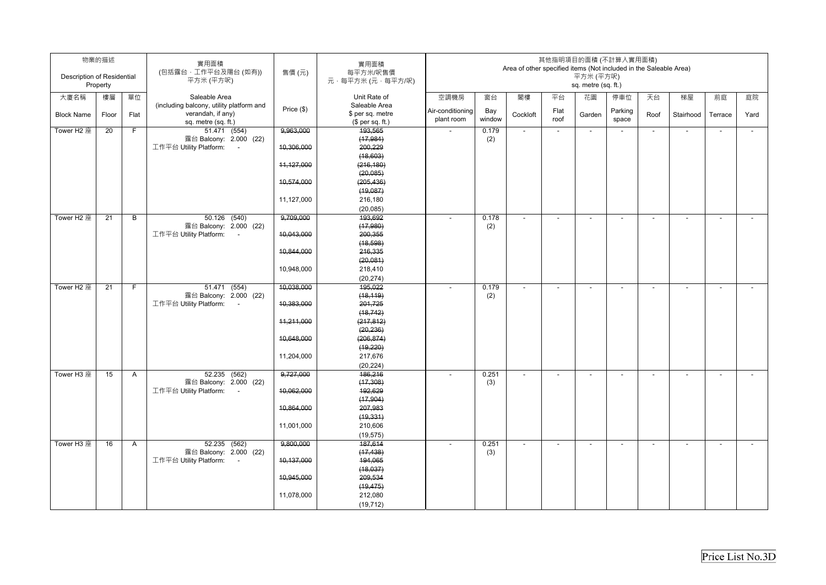| Description of Residential | 物業的描述<br>Property |                | 實用面積<br>(包括露台,工作平台及陽台(如有))<br>平方米 (平方呎)                                              | 售價(元)      | 實用面積<br>每平方米/呎售價<br>元,每平方米 (元,每平方/呎)                  |                                |               | Area of other specified items (Not included in the Saleable Area) |                          | 其他指明項目的面積 (不計算入實用面積)<br>平方米 (平方呎)<br>sq. metre (sq. ft.) |                          |                |                          |                          |                          |
|----------------------------|-------------------|----------------|--------------------------------------------------------------------------------------|------------|-------------------------------------------------------|--------------------------------|---------------|-------------------------------------------------------------------|--------------------------|----------------------------------------------------------|--------------------------|----------------|--------------------------|--------------------------|--------------------------|
| 大廈名稱                       | 樓層                | 單位             | Saleable Area                                                                        |            | Unit Rate of                                          | 空調機房                           | 窗台            | 閣樓                                                                | 平台                       | 花園                                                       | 停車位                      | 天台             | 梯屋                       | 前庭                       | 庭院                       |
| <b>Block Name</b>          | Floor             | Flat           | (including balcony, utility platform and<br>verandah, if any)<br>sq. metre (sq. ft.) | Price (\$) | Saleable Area<br>\$ per sq. metre<br>$$$ per sq. ft.) | Air-conditioning<br>plant room | Bay<br>window | Cockloft                                                          | Flat<br>roof             | Garden                                                   | Parking<br>space         | Roof           | Stairhood                | Terrace                  | Yard                     |
| Tower H2 座                 | 20                | F              | 51.471 (554)                                                                         | 9,963,000  | 193,565                                               |                                | 0.179         | $\sim$                                                            | $\overline{\phantom{a}}$ | $\overline{\phantom{a}}$                                 |                          | $\blacksquare$ | $\overline{a}$           | $\overline{\phantom{a}}$ | $\overline{\phantom{a}}$ |
|                            |                   |                | 露台 Balcony: 2.000 (22)<br>工作平台 Utility Platform: -                                   | 10,306,000 | (17, 984)<br>200,229<br>(18,603)                      |                                | (2)           |                                                                   |                          |                                                          |                          |                |                          |                          |                          |
|                            |                   |                |                                                                                      | 11,127,000 | (216, 180)<br>(20, 085)                               |                                |               |                                                                   |                          |                                                          |                          |                |                          |                          |                          |
|                            |                   |                |                                                                                      | 10,574,000 | (205, 436)                                            |                                |               |                                                                   |                          |                                                          |                          |                |                          |                          |                          |
|                            |                   |                |                                                                                      |            | (19,087)                                              |                                |               |                                                                   |                          |                                                          |                          |                |                          |                          |                          |
|                            |                   |                |                                                                                      | 11,127,000 | 216,180<br>(20, 085)                                  |                                |               |                                                                   |                          |                                                          |                          |                |                          |                          |                          |
| Tower H2 座                 | 21                | В              | $50.126$ (540)                                                                       | 9,709,000  | 193,692                                               | $\sim$                         | 0.178         | $\overline{a}$                                                    | $\overline{\phantom{a}}$ | $\overline{\phantom{a}}$                                 | $\overline{a}$           | $\blacksquare$ | $\overline{a}$           | $\overline{a}$           |                          |
|                            |                   |                | 露台 Balcony: 2.000 (22)                                                               |            | (17,980)                                              |                                | (2)           |                                                                   |                          |                                                          |                          |                |                          |                          |                          |
|                            |                   |                | 工作平台 Utility Platform: -                                                             | 10,043,000 | 200,355                                               |                                |               |                                                                   |                          |                                                          |                          |                |                          |                          |                          |
|                            |                   |                |                                                                                      | 10,844,000 | (18, 598)<br>216,335                                  |                                |               |                                                                   |                          |                                                          |                          |                |                          |                          |                          |
|                            |                   |                |                                                                                      |            | (20, 081)                                             |                                |               |                                                                   |                          |                                                          |                          |                |                          |                          |                          |
|                            |                   |                |                                                                                      | 10,948,000 | 218,410                                               |                                |               |                                                                   |                          |                                                          |                          |                |                          |                          |                          |
|                            |                   |                |                                                                                      |            | (20, 274)                                             |                                |               |                                                                   |                          |                                                          |                          |                |                          |                          |                          |
| Tower H2 座                 | 21                | $\overline{F}$ | 51.471 (554)                                                                         | 10,038,000 | 195,022                                               |                                | 0.179         | $\blacksquare$                                                    | $\blacksquare$           | $\overline{\phantom{a}}$                                 | ÷,                       | $\blacksquare$ | $\overline{a}$           | $\overline{\phantom{a}}$ | $\blacksquare$           |
|                            |                   |                | 露台 Balcony: 2.000 (22)<br>工作平台 Utility Platform: -                                   | 10,383,000 | (18, 119)<br>201,725                                  |                                | (2)           |                                                                   |                          |                                                          |                          |                |                          |                          |                          |
|                            |                   |                |                                                                                      |            | (18, 742)                                             |                                |               |                                                                   |                          |                                                          |                          |                |                          |                          |                          |
|                            |                   |                |                                                                                      | 11,211,000 | (217, 812)                                            |                                |               |                                                                   |                          |                                                          |                          |                |                          |                          |                          |
|                            |                   |                |                                                                                      |            | (20, 236)                                             |                                |               |                                                                   |                          |                                                          |                          |                |                          |                          |                          |
|                            |                   |                |                                                                                      | 10,648,000 | (206, 874)                                            |                                |               |                                                                   |                          |                                                          |                          |                |                          |                          |                          |
|                            |                   |                |                                                                                      |            | (19, 220)<br>217,676                                  |                                |               |                                                                   |                          |                                                          |                          |                |                          |                          |                          |
|                            |                   |                |                                                                                      | 11,204,000 | (20, 224)                                             |                                |               |                                                                   |                          |                                                          |                          |                |                          |                          |                          |
| Tower H3 座                 | 15                | A              | $52.235$ $(562)$                                                                     | 9,727,000  | 186,216                                               | $\overline{\phantom{a}}$       | 0.251         | $\overline{\phantom{a}}$                                          | $\overline{\phantom{a}}$ | $\overline{\phantom{a}}$                                 | $\blacksquare$           | $\blacksquare$ | $\overline{\phantom{a}}$ | $\overline{\phantom{a}}$ |                          |
|                            |                   |                | 露台 Balcony: 2.000 (22)                                                               |            | (17, 308)                                             |                                | (3)           |                                                                   |                          |                                                          |                          |                |                          |                          |                          |
|                            |                   |                | 工作平台 Utility Platform: -                                                             | 10,062,000 | 192,629                                               |                                |               |                                                                   |                          |                                                          |                          |                |                          |                          |                          |
|                            |                   |                |                                                                                      | 10,864,000 | (17,904)<br>207,983                                   |                                |               |                                                                   |                          |                                                          |                          |                |                          |                          |                          |
|                            |                   |                |                                                                                      |            | (19, 331)                                             |                                |               |                                                                   |                          |                                                          |                          |                |                          |                          |                          |
|                            |                   |                |                                                                                      | 11,001,000 | 210,606                                               |                                |               |                                                                   |                          |                                                          |                          |                |                          |                          |                          |
|                            |                   |                |                                                                                      |            | (19, 575)                                             |                                |               |                                                                   |                          |                                                          |                          |                |                          |                          |                          |
| Tower H3 座                 | 16                | A              | 52.235 (562)                                                                         | 9,800,000  | 187,614                                               |                                | 0.251         |                                                                   | $\overline{\phantom{a}}$ | $\overline{\phantom{a}}$                                 | $\overline{\phantom{a}}$ |                | $\overline{\phantom{a}}$ |                          |                          |
|                            |                   |                | 露台 Balcony: 2.000 (22)<br>工作平台 Utility Platform: -                                   | 10,137,000 | (17, 438)<br>194,065                                  |                                | (3)           |                                                                   |                          |                                                          |                          |                |                          |                          |                          |
|                            |                   |                |                                                                                      |            | (18,037)                                              |                                |               |                                                                   |                          |                                                          |                          |                |                          |                          |                          |
|                            |                   |                |                                                                                      | 10,945,000 | 209,534                                               |                                |               |                                                                   |                          |                                                          |                          |                |                          |                          |                          |
|                            |                   |                |                                                                                      |            | (19, 475)                                             |                                |               |                                                                   |                          |                                                          |                          |                |                          |                          |                          |
|                            |                   |                |                                                                                      | 11,078,000 | 212,080                                               |                                |               |                                                                   |                          |                                                          |                          |                |                          |                          |                          |
|                            |                   |                |                                                                                      |            | (19, 712)                                             |                                |               |                                                                   |                          |                                                          |                          |                |                          |                          |                          |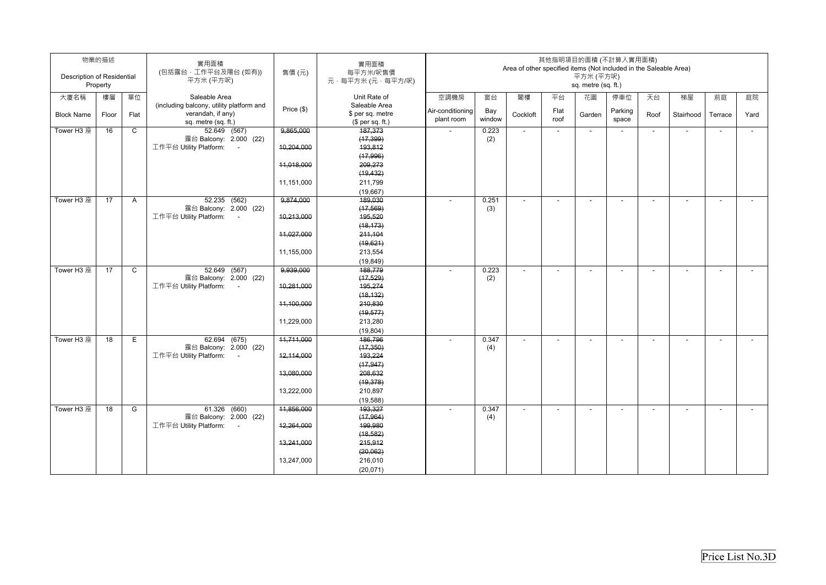| Description of Residential | 物業的描述<br>Property |                | 實用面積<br>(包括露台,工作平台及陽台(如有))<br>平方米 (平方呎)                                              | 售價(元)      | 實用面積<br>每平方米/呎售價<br>元,每平方米 (元,每平方/呎)                  |                                |               | Area of other specified items (Not included in the Saleable Area) |                          | 其他指明項目的面積 (不計算入實用面積)<br>平方米 (平方呎)<br>sq. metre (sq. ft.) |                          |                          |                          |                          |                |
|----------------------------|-------------------|----------------|--------------------------------------------------------------------------------------|------------|-------------------------------------------------------|--------------------------------|---------------|-------------------------------------------------------------------|--------------------------|----------------------------------------------------------|--------------------------|--------------------------|--------------------------|--------------------------|----------------|
| 大廈名稱                       | 樓層                | 單位             | Saleable Area                                                                        |            | Unit Rate of                                          | 空調機房                           | 窗台            | 閣樓                                                                | 平台                       | 花園                                                       | 停車位                      | 天台                       | 梯屋                       | 前庭                       | 庭院             |
| <b>Block Name</b>          | Floor             | Flat           | (including balcony, utility platform and<br>verandah, if any)<br>sq. metre (sq. ft.) | Price (\$) | Saleable Area<br>\$ per sq. metre<br>(\$ per sq. ft.) | Air-conditioning<br>plant room | Bay<br>window | Cockloft                                                          | Flat<br>roof             | Garden                                                   | Parking<br>space         | Roof                     | Stairhood                | Terrace                  | Yard           |
| Tower H3 座                 | 16                | C              | 52.649 (567)                                                                         | 9,865,000  | 187,373                                               | $\overline{\phantom{a}}$       | 0.223         |                                                                   | $\overline{\phantom{a}}$ | $\overline{\phantom{a}}$                                 |                          | $\overline{a}$           | $\overline{a}$           | $\overline{a}$           | $\overline{a}$ |
|                            |                   |                | 露台 Balcony: 2.000 (22)                                                               |            | (17, 399)                                             |                                | (2)           |                                                                   |                          |                                                          |                          |                          |                          |                          |                |
|                            |                   |                | 工作平台 Utility Platform: -                                                             | 10,204,000 | 193,812<br>(17,996)                                   |                                |               |                                                                   |                          |                                                          |                          |                          |                          |                          |                |
|                            |                   |                |                                                                                      | 11,018,000 | 209,273                                               |                                |               |                                                                   |                          |                                                          |                          |                          |                          |                          |                |
|                            |                   |                |                                                                                      |            | (19, 432)                                             |                                |               |                                                                   |                          |                                                          |                          |                          |                          |                          |                |
|                            |                   |                |                                                                                      | 11,151,000 | 211,799                                               |                                |               |                                                                   |                          |                                                          |                          |                          |                          |                          |                |
|                            |                   |                |                                                                                      |            | (19,667)                                              |                                |               |                                                                   |                          |                                                          |                          |                          |                          |                          |                |
| Tower H3 座                 | 17                | A              | 52.235 (562)                                                                         | 9,874,000  | 189,030                                               | $\overline{a}$                 | 0.251         | $\overline{a}$                                                    | $\blacksquare$           | $\blacksquare$                                           | $\overline{a}$           | $\blacksquare$           | $\overline{a}$           | $\overline{\phantom{a}}$ | $\overline{a}$ |
|                            |                   |                | 露台 Balcony: 2.000 (22)                                                               |            | (17, 569)                                             |                                | (3)           |                                                                   |                          |                                                          |                          |                          |                          |                          |                |
|                            |                   |                | 工作平台 Utility Platform:<br>$\sim$ $-$                                                 | 10,213,000 | 195,520                                               |                                |               |                                                                   |                          |                                                          |                          |                          |                          |                          |                |
|                            |                   |                |                                                                                      |            | (18, 173)                                             |                                |               |                                                                   |                          |                                                          |                          |                          |                          |                          |                |
|                            |                   |                |                                                                                      | 11,027,000 | 211,104                                               |                                |               |                                                                   |                          |                                                          |                          |                          |                          |                          |                |
|                            |                   |                |                                                                                      |            | (19, 621)                                             |                                |               |                                                                   |                          |                                                          |                          |                          |                          |                          |                |
|                            |                   |                |                                                                                      | 11,155,000 | 213,554                                               |                                |               |                                                                   |                          |                                                          |                          |                          |                          |                          |                |
|                            |                   |                |                                                                                      |            | (19, 849)                                             |                                |               |                                                                   |                          |                                                          |                          |                          |                          |                          |                |
| Tower H3 座                 | 17                | $\overline{c}$ | 52.649 (567)                                                                         | 9,939,000  | 188,779                                               |                                | 0.223         | $\overline{a}$                                                    | $\overline{\phantom{a}}$ | $\overline{\phantom{a}}$                                 | $\overline{\phantom{a}}$ | $\overline{\phantom{a}}$ | $\overline{\phantom{a}}$ | $\overline{\phantom{a}}$ |                |
|                            |                   |                | 露台 Balcony: 2.000 (22)<br>工作平台 Utility Platform: -                                   | 10,281,000 | (17, 529)<br>195,274                                  |                                | (2)           |                                                                   |                          |                                                          |                          |                          |                          |                          |                |
|                            |                   |                |                                                                                      |            | (18, 132)                                             |                                |               |                                                                   |                          |                                                          |                          |                          |                          |                          |                |
|                            |                   |                |                                                                                      | 11,100,000 | 210,830                                               |                                |               |                                                                   |                          |                                                          |                          |                          |                          |                          |                |
|                            |                   |                |                                                                                      |            | (19, 577)                                             |                                |               |                                                                   |                          |                                                          |                          |                          |                          |                          |                |
|                            |                   |                |                                                                                      | 11,229,000 | 213,280                                               |                                |               |                                                                   |                          |                                                          |                          |                          |                          |                          |                |
|                            |                   |                |                                                                                      |            | (19, 804)                                             |                                |               |                                                                   |                          |                                                          |                          |                          |                          |                          |                |
| Tower H3 座                 | 18                | Е              | 62.694 (675)                                                                         | 44,711,000 | 186,796                                               | $\overline{\phantom{a}}$       | 0.347         | $\blacksquare$                                                    | $\overline{\phantom{a}}$ | $\overline{\phantom{a}}$                                 | $\blacksquare$           | $\blacksquare$           | $\overline{a}$           |                          |                |
|                            |                   |                | 露台 Balcony: 2.000 (22)                                                               |            | (17,350)                                              |                                | (4)           |                                                                   |                          |                                                          |                          |                          |                          |                          |                |
|                            |                   |                | 工作平台 Utility Platform: -                                                             | 12,114,000 | 193,224                                               |                                |               |                                                                   |                          |                                                          |                          |                          |                          |                          |                |
|                            |                   |                |                                                                                      |            | (17, 947)                                             |                                |               |                                                                   |                          |                                                          |                          |                          |                          |                          |                |
|                            |                   |                |                                                                                      | 13.080.000 | 208,632                                               |                                |               |                                                                   |                          |                                                          |                          |                          |                          |                          |                |
|                            |                   |                |                                                                                      |            | (19, 378)                                             |                                |               |                                                                   |                          |                                                          |                          |                          |                          |                          |                |
|                            |                   |                |                                                                                      | 13,222,000 | 210,897                                               |                                |               |                                                                   |                          |                                                          |                          |                          |                          |                          |                |
| Tower H3 座                 | 18                | G              | 61.326 (660)                                                                         | 11,856,000 | (19, 588)<br>193,327                                  |                                | 0.347         | $\overline{a}$                                                    | $\overline{\phantom{a}}$ |                                                          |                          | $\overline{\phantom{a}}$ |                          | $\overline{\phantom{a}}$ | $\blacksquare$ |
|                            |                   |                | 露台 Balcony: 2.000 (22)                                                               |            | (17,964)                                              |                                | (4)           |                                                                   |                          | $\overline{\phantom{a}}$                                 | $\overline{\phantom{a}}$ |                          | $\overline{\phantom{a}}$ |                          |                |
|                            |                   |                | 工作平台 Utility Platform: -                                                             | 12,264,000 | 199,980                                               |                                |               |                                                                   |                          |                                                          |                          |                          |                          |                          |                |
|                            |                   |                |                                                                                      |            | (18, 582)                                             |                                |               |                                                                   |                          |                                                          |                          |                          |                          |                          |                |
|                            |                   |                |                                                                                      | 13,241,000 | 215,912                                               |                                |               |                                                                   |                          |                                                          |                          |                          |                          |                          |                |
|                            |                   |                |                                                                                      |            | (20, 062)                                             |                                |               |                                                                   |                          |                                                          |                          |                          |                          |                          |                |
|                            |                   |                |                                                                                      | 13,247,000 | 216,010                                               |                                |               |                                                                   |                          |                                                          |                          |                          |                          |                          |                |
|                            |                   |                |                                                                                      |            | (20, 071)                                             |                                |               |                                                                   |                          |                                                          |                          |                          |                          |                          |                |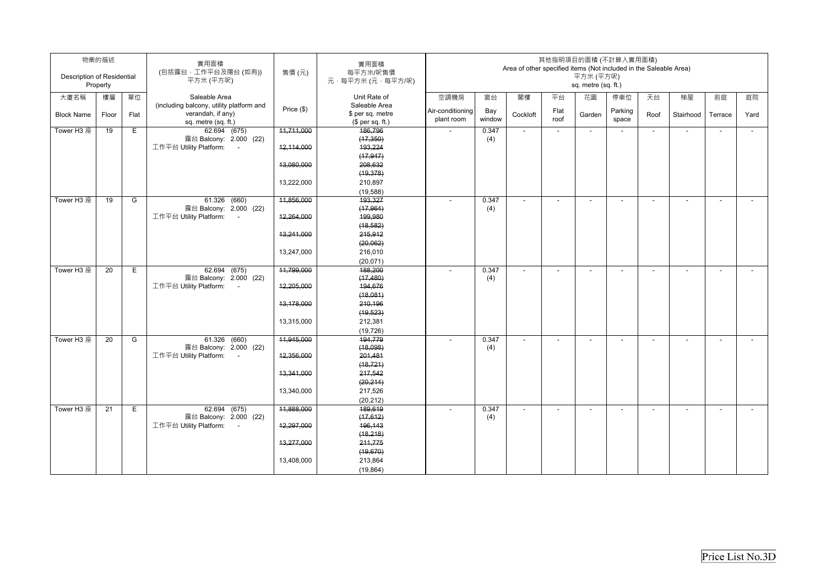| Description of Residential | 物業的描述<br>Property |      | 實用面積<br>(包括露台·工作平台及陽台(如有))<br>平方米 (平方呎)                                              | 售價(元)      | 實用面積<br>每平方米/呎售價<br>元,每平方米 (元,每平方/呎)                  |                                |               | Area of other specified items (Not included in the Saleable Area) |                          | 平方米 (平方呎)<br>sq. metre (sq. ft.) | 其他指明項目的面積 (不計算入實用面積)     |                          |                          |                          |        |
|----------------------------|-------------------|------|--------------------------------------------------------------------------------------|------------|-------------------------------------------------------|--------------------------------|---------------|-------------------------------------------------------------------|--------------------------|----------------------------------|--------------------------|--------------------------|--------------------------|--------------------------|--------|
| 大廈名稱                       | 樓層                | 單位   | Saleable Area                                                                        |            | Unit Rate of                                          | 空調機房                           | 窗台            | 閣樓                                                                | 平台                       | 花園                               | 停車位                      | 天台                       | 梯屋                       | 前庭                       | 庭院     |
| <b>Block Name</b>          | Floor             | Flat | (including balcony, utility platform and<br>verandah, if any)<br>sq. metre (sq. ft.) | Price (\$) | Saleable Area<br>\$ per sq. metre<br>(\$ per sq. ft.) | Air-conditioning<br>plant room | Bay<br>window | Cockloft                                                          | Flat<br>roof             | Garden                           | Parking<br>space         | Roof                     | Stairhood                | Terrace                  | Yard   |
| Tower H3 座                 | 19                | E    | 62.694 (675)<br>露台 Balcony: 2.000 (22)                                               | 11,711,000 | 186,796<br>(17,350)                                   |                                | 0.347<br>(4)  |                                                                   | $\overline{\phantom{a}}$ | $\overline{\phantom{a}}$         |                          |                          | $\overline{\phantom{0}}$ |                          |        |
|                            |                   |      | 工作平台 Utility Platform: -                                                             | 12,114,000 | 193,224                                               |                                |               |                                                                   |                          |                                  |                          |                          |                          |                          |        |
|                            |                   |      |                                                                                      |            | (17, 947)                                             |                                |               |                                                                   |                          |                                  |                          |                          |                          |                          |        |
|                            |                   |      |                                                                                      | 13,080,000 | 208,632<br>(19, 378)                                  |                                |               |                                                                   |                          |                                  |                          |                          |                          |                          |        |
|                            |                   |      |                                                                                      | 13,222,000 | 210,897                                               |                                |               |                                                                   |                          |                                  |                          |                          |                          |                          |        |
|                            |                   |      |                                                                                      |            | (19, 588)                                             |                                |               |                                                                   |                          |                                  |                          |                          |                          |                          |        |
| Tower H3 座                 | 19                | G    | 61.326 (660)                                                                         | 11,856,000 | 193,327                                               | $\overline{a}$                 | 0.347         | $\overline{a}$                                                    | $\blacksquare$           | $\blacksquare$                   | $\overline{\phantom{a}}$ | $\overline{\phantom{a}}$ | $\blacksquare$           | $\overline{a}$           | $\sim$ |
|                            |                   |      | 露台 Balcony: 2.000 (22)                                                               |            | (17, 964)                                             |                                | (4)           |                                                                   |                          |                                  |                          |                          |                          |                          |        |
|                            |                   |      | 工作平台 Utility Platform:<br>$\sim$                                                     | 12,264,000 | 199,980                                               |                                |               |                                                                   |                          |                                  |                          |                          |                          |                          |        |
|                            |                   |      |                                                                                      |            | (18, 582)                                             |                                |               |                                                                   |                          |                                  |                          |                          |                          |                          |        |
|                            |                   |      |                                                                                      | 13,241,000 | 215,912                                               |                                |               |                                                                   |                          |                                  |                          |                          |                          |                          |        |
|                            |                   |      |                                                                                      |            | (20, 062)                                             |                                |               |                                                                   |                          |                                  |                          |                          |                          |                          |        |
|                            |                   |      |                                                                                      | 13,247,000 | 216,010                                               |                                |               |                                                                   |                          |                                  |                          |                          |                          |                          |        |
| Tower H3 座                 | 20                | E    | 62.694 (675)                                                                         | 11,799,000 | (20, 071)<br>188,200                                  | $\sim$                         | 0.347         | $\overline{a}$                                                    | $\overline{a}$           | $\overline{a}$                   | $\overline{a}$           | $\overline{a}$           | $\overline{a}$           | $\overline{\phantom{a}}$ |        |
|                            |                   |      | 露台 Balcony: 2.000 (22)                                                               |            | (17, 480)                                             |                                | (4)           |                                                                   |                          |                                  |                          |                          |                          |                          |        |
|                            |                   |      | 工作平台 Utility Platform: -                                                             | 12,205,000 | 194,676                                               |                                |               |                                                                   |                          |                                  |                          |                          |                          |                          |        |
|                            |                   |      |                                                                                      |            | (18,081)                                              |                                |               |                                                                   |                          |                                  |                          |                          |                          |                          |        |
|                            |                   |      |                                                                                      | 13,178,000 | 210,196                                               |                                |               |                                                                   |                          |                                  |                          |                          |                          |                          |        |
|                            |                   |      |                                                                                      |            | (19, 523)                                             |                                |               |                                                                   |                          |                                  |                          |                          |                          |                          |        |
|                            |                   |      |                                                                                      | 13,315,000 | 212,381                                               |                                |               |                                                                   |                          |                                  |                          |                          |                          |                          |        |
|                            |                   |      |                                                                                      |            | (19, 726)                                             |                                |               |                                                                   |                          |                                  |                          |                          |                          |                          |        |
| Tower H3 座                 | 20                | G    | 61.326 (660)<br>露台 Balcony: 2.000 (22)                                               | 44,945,000 | 194,779<br>(18,098)                                   | $\overline{\phantom{a}}$       | 0.347         | $\blacksquare$                                                    | $\overline{\phantom{a}}$ | $\overline{\phantom{a}}$         | $\overline{\phantom{a}}$ | $\blacksquare$           | $\overline{\phantom{a}}$ |                          |        |
|                            |                   |      | 工作平台 Utility Platform: -                                                             | 12,356,000 | 201,481                                               |                                | (4)           |                                                                   |                          |                                  |                          |                          |                          |                          |        |
|                            |                   |      |                                                                                      |            | (18, 721)                                             |                                |               |                                                                   |                          |                                  |                          |                          |                          |                          |        |
|                            |                   |      |                                                                                      | 13,341,000 | 217,542                                               |                                |               |                                                                   |                          |                                  |                          |                          |                          |                          |        |
|                            |                   |      |                                                                                      |            | (20, 214)                                             |                                |               |                                                                   |                          |                                  |                          |                          |                          |                          |        |
|                            |                   |      |                                                                                      | 13,340,000 | 217,526                                               |                                |               |                                                                   |                          |                                  |                          |                          |                          |                          |        |
|                            |                   |      |                                                                                      |            | (20, 212)                                             |                                |               |                                                                   |                          |                                  |                          |                          |                          |                          |        |
| Tower H3 座                 | 21                | Ε    | 62.694 (675)                                                                         | 11,888,000 | 489,619                                               |                                | 0.347         | $\overline{\phantom{a}}$                                          | $\overline{\phantom{a}}$ | $\overline{\phantom{a}}$         | $\blacksquare$           | $\overline{\phantom{0}}$ | $\overline{\phantom{a}}$ |                          |        |
|                            |                   |      | 露台 Balcony: 2.000 (22)<br>工作平台 Utility Platform: -                                   | 12,297,000 | (17, 612)<br>196,143                                  |                                | (4)           |                                                                   |                          |                                  |                          |                          |                          |                          |        |
|                            |                   |      |                                                                                      |            | (18, 218)                                             |                                |               |                                                                   |                          |                                  |                          |                          |                          |                          |        |
|                            |                   |      |                                                                                      | 13,277,000 | 211,775                                               |                                |               |                                                                   |                          |                                  |                          |                          |                          |                          |        |
|                            |                   |      |                                                                                      |            | (19, 670)                                             |                                |               |                                                                   |                          |                                  |                          |                          |                          |                          |        |
|                            |                   |      |                                                                                      | 13,408,000 | 213,864                                               |                                |               |                                                                   |                          |                                  |                          |                          |                          |                          |        |
|                            |                   |      |                                                                                      |            | (19, 864)                                             |                                |               |                                                                   |                          |                                  |                          |                          |                          |                          |        |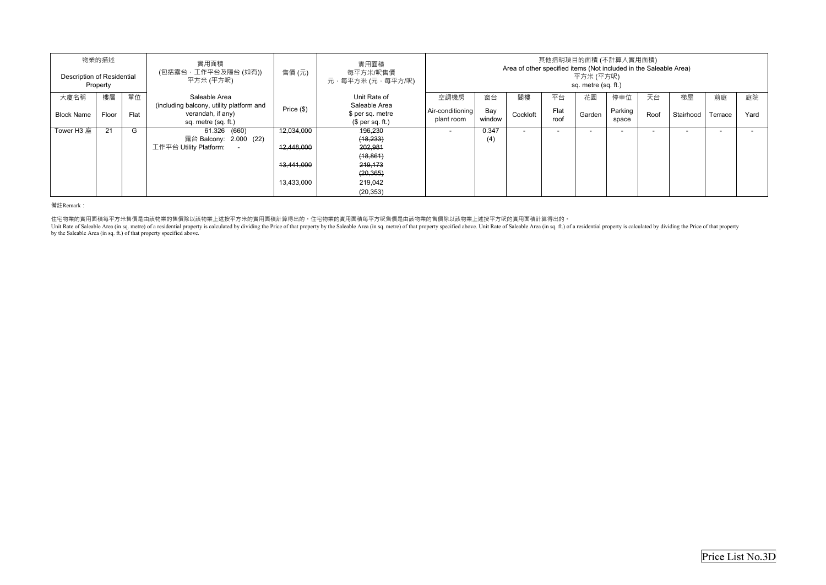| 物業的描述                                  |       |      | 實用面積                                                                                 | 售價 (元)     | 實用面積<br>每平方米/呎售價<br>元‧每平方米 (元‧每平方/呎)                  | 其他指明項目的面積 (不計算入實用面積)<br>Area of other specified items (Not included in the Saleable Area) |               |                          |                          |                                  |                  |      |                          |         |      |
|----------------------------------------|-------|------|--------------------------------------------------------------------------------------|------------|-------------------------------------------------------|-------------------------------------------------------------------------------------------|---------------|--------------------------|--------------------------|----------------------------------|------------------|------|--------------------------|---------|------|
| Description of Residential<br>Property |       |      | (包括露台,工作平台及陽台 (如有))<br>平方米 (平方呎)                                                     |            |                                                       |                                                                                           |               |                          |                          | 平方米 (平方呎)<br>sq. metre (sq. ft.) |                  |      |                          |         |      |
| 大廈名稱                                   | 樓層    | 單位   | Saleable Area                                                                        |            | Unit Rate of                                          | 空調機房                                                                                      | 窗台            | 閣樓                       | 平台                       | 花園                               | 停車位              | 天台   | 梯屋                       | 前庭      | 庭院   |
| <b>Block Name</b>                      | Floor | Flat | (including balcony, utility platform and<br>verandah, if any)<br>sq. metre (sq. ft.) | Price (\$) | Saleable Area<br>\$ per sq. metre<br>$$$ per sq. ft.) | Air-conditioning<br>plant room                                                            | Bay<br>window | Cockloft                 | Flat<br>roof             | Garden                           | Parking<br>space | Roof | Stairhood                | Terrace | Yard |
| Tower H3 座                             | 21    | G    | 61.326 (660)                                                                         | 12,034,000 | 196,230                                               |                                                                                           | 0.347         | $\overline{\phantom{0}}$ | $\overline{\phantom{0}}$ | $\overline{\phantom{0}}$         |                  |      | $\overline{\phantom{0}}$ |         |      |
|                                        |       |      | 露台 Balcony: 2.000 (22)                                                               |            | (18, 233)                                             |                                                                                           | (4)           |                          |                          |                                  |                  |      |                          |         |      |
|                                        |       |      | 工作平台 Utility Platform:                                                               | 12.448.000 | 202,981                                               |                                                                                           |               |                          |                          |                                  |                  |      |                          |         |      |
|                                        |       |      |                                                                                      |            | (18, 861)                                             |                                                                                           |               |                          |                          |                                  |                  |      |                          |         |      |
|                                        |       |      |                                                                                      | 13,441,000 | 219,173                                               |                                                                                           |               |                          |                          |                                  |                  |      |                          |         |      |
|                                        |       |      |                                                                                      |            | (20, 365)                                             |                                                                                           |               |                          |                          |                                  |                  |      |                          |         |      |
|                                        |       |      |                                                                                      | 13,433,000 | 219,042                                               |                                                                                           |               |                          |                          |                                  |                  |      |                          |         |      |
|                                        |       |      |                                                                                      |            | (20, 353)                                             |                                                                                           |               |                          |                          |                                  |                  |      |                          |         |      |

備註Remark:

住宅物業的實用面積每平方米售價是由該物業的售價除以該物業上述按平方米的實用面積計算得出的。住宅物業的實用面積每平方呎售價是由該物業的售價除以該物業上述按平方呎的實用面積計算得出的。<br>Unit Rate of Saleable Area (in sq. metre) of a residential property is calculated by dividing the Price of that property by the Sa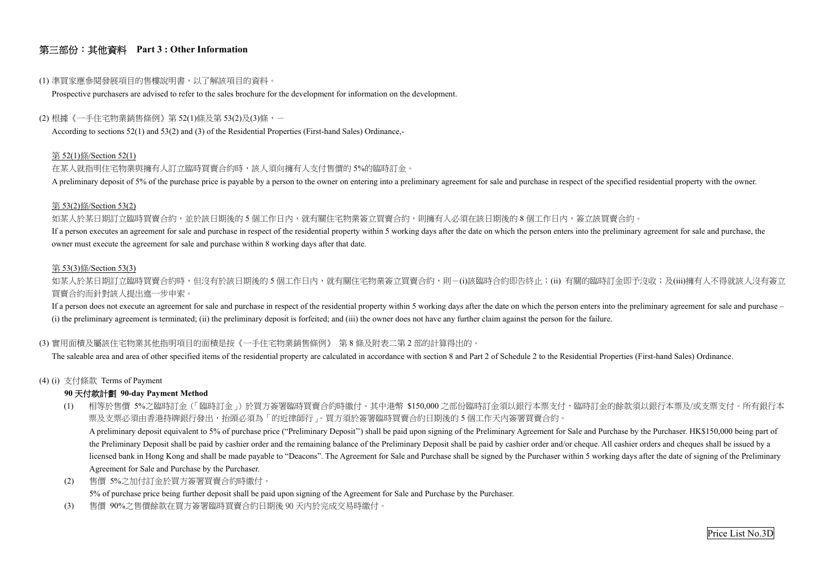## Price List No.3D

## 第三部份:其他資料 **Part 3 : Other Information**

#### (1) 準買家應參閱發展項目的售樓說明書,以了解該項目的資料。

Prospective purchasers are advised to refer to the sales brochure for the development for information on the development.

#### (2) 根據《一手住宅物業銷售條例》第 52(1)條及第 53(2)及(3)條,-

According to sections 52(1) and 53(2) and (3) of the Residential Properties (First-hand Sales) Ordinance,-

#### 第 52(1)條/Section 52(1)

在某人就指明住宅物業與擁有人訂立臨時買賣合約時,該人須向擁有人支付售價的 5%的臨時訂金。

如某人於某日期訂立臨時買賣合約,並於該日期後的 5 個工作日內,就有關住宅物業簽立買賣合約,則擁有人必須在該日期後的 8 個工作日內,簽立該買賣合約。 If a person executes an agreement for sale and purchase in respect of the residential property within 5 working days after the date on which the person enters into the preliminary agreement for sale and purchase, the owner must execute the agreement for sale and purchase within 8 working days after that date.

A preliminary deposit of 5% of the purchase price is payable by a person to the owner on entering into a preliminary agreement for sale and purchase in respect of the specified residential property with the owner.

如某人於某日期訂立臨時買賣合約時,但沒有於該日期後的 5 個工作日內,就有關住宅物業簽立買賣合約,則-(i)該臨時合約即告終止;(ii) 有關的臨時訂金即予沒收;及(iii)擁有人不得就該人沒有簽立 買賣合約而針對該人提出進一步申索。

#### 第 53(2)條/Section 53(2)

If a person does not execute an agreement for sale and purchase in respect of the residential property within 5 working days after the date on which the person enters into the preliminary agreement for sale and purchase – (i) the preliminary agreement is terminated; (ii) the preliminary deposit is forfeited; and (iii) the owner does not have any further claim against the person for the failure.

#### 第 53(3)條/Section 53(3)

## (3) 實用面積及屬該住宅物業其他指明項目的面積是按《一手住宅物業銷售條例》 第 8 條及附表二第 <sup>2</sup> 部的計算得出的。

The saleable area and area of other specified items of the residential property are calculated in accordance with section 8 and Part 2 of Schedule 2 to the Residential Properties (First-hand Sales) Ordinance.

### (4) (i) 支付條款 Terms of Payment

### **90** 天付款計劃 **90-day Payment Method**

- (1) 相等於售價 5%之臨時訂金(「臨時訂金」)於買方簽署臨時買賣合約時繳付。其中港幣 \$150,000 之部份臨時訂金須以銀行本票支付,臨時訂金的餘款須以銀行本票及/或支票支付。所有銀行本 票及支票必須由香港持牌銀行發出,抬頭必須為「的近律師行」。買方須於簽署臨時買賣合約日期後的 <sup>5</sup> 個工作天內簽署買賣合約。 A preliminary deposit equivalent to 5% of purchase price ("Preliminary Deposit'') shall be paid upon signing of the Preliminary Agreement for Sale and Purchase by the Purchaser. HK\$150,000 being part of the Preliminary Deposit shall be paid by cashier order and the remaining balance of the Preliminary Deposit shall be paid by cashier order and/or cheque. All cashier orders and cheques shall be issued by a licensed bank in Hong Kong and shall be made payable to "Deacons". The Agreement for Sale and Purchase shall be signed by the Purchaser within 5 working days after the date of signing of the Preliminary
- (2) 售價 5%之加付訂金於買方簽署買賣合約時繳付。 5% of purchase price being further deposit shall be paid upon signing of the Agreement for Sale and Purchase by the Purchaser.
- (3) 售價 90%之售價餘款在買方簽署臨時買賣合約日期後 90 天內於完成交易時繳付。

Agreement for Sale and Purchase by the Purchaser.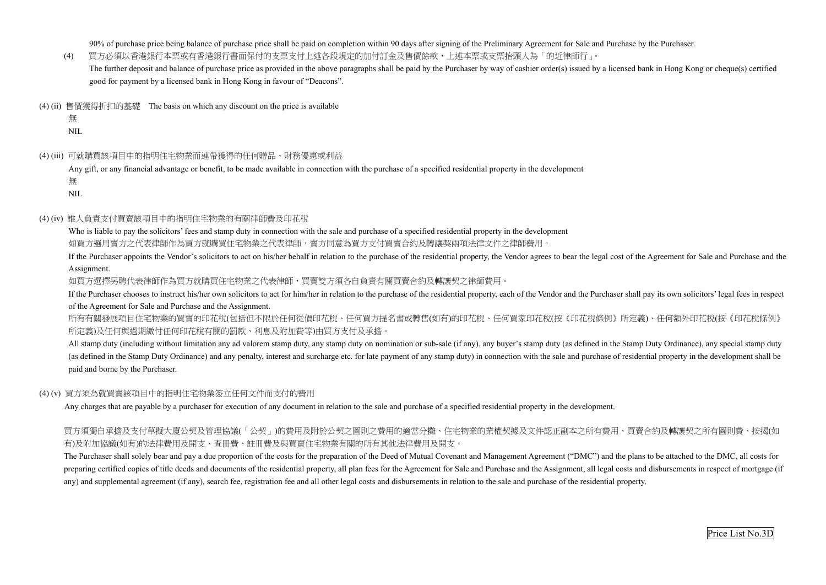Price List No.3D

90% of purchase price being balance of purchase price shall be paid on completion within 90 days after signing of the Preliminary Agreement for Sale and Purchase by the Purchaser.

- (4) 買方必須以香港銀行本票或有香港銀行書面保付的支票支付上述各段規定的加付訂金及售價餘款,上述本票或支票抬頭人為「的近律師行」。 The further deposit and balance of purchase price as provided in the above paragraphs shall be paid by the Purchaser by way of cashier order(s) issued by a licensed bank in Hong Kong or cheque(s) certified good for payment by a licensed bank in Hong Kong in favour of "Deacons".
- (4) (ii) 售價獲得折扣的基礎 The basis on which any discount on the price is available

 Who is liable to pay the solicitors' fees and stamp duty in connection with the sale and purchase of a specified residential property in the development 如買方選用賣方之代表律師價有方就購買住宅物業之代表律師,賣方同意為買方支付買賣合約及轉讓契兩項法律文件之律師費用。

無

NIL

(4) (iii) 可就購買該項目中的指明住宅物業而連帶獲得的任何贈品、財務優惠或利益

If the Purchaser appoints the Vendor's solicitors to act on his/her behalf in relation to the purchase of the residential property, the Vendor agrees to bear the legal cost of the Agreement for Sale and Purchase and the Assignment.

Any gift, or any financial advantage or benefit, to be made available in connection with the purchase of a specified residential property in the development 無

所有有關發展項目住宅物業的買賣的印花稅(包括但不限於任何從價印花稅、任何買方提名書或轉售(如有)的印花稅、任何買家印花稅(按《印花稅條例》所定義)、任何額外印花稅(按《印花稅條例》 所定義)及任何與過期繳付任何印花稅有關的罰款、利息及附加費等)由買方支付及承擔

NIL

## (4) (iv) 誰人負責支付買賣該項目中的指明住宅物業的有關律師費及印花稅

All stamp duty (including without limitation any ad valorem stamp duty, any stamp duty on nomination or sub-sale (if any), any buyer's stamp duty (as defined in the Stamp Duty Ordinance), any special stamp duty (as defined in the Stamp Duty Ordinance) and any penalty, interest and surcharge etc. for late payment of any stamp duty) in connection with the sale and purchase of residential property in the development shall be paid and borne by the Purchaser.

如買方選擇另聘代表律師作為買方就購買住宅物業之代表律師,買賣雙方須各自負責有關買賣合約及轉讓契之律師費用。

 If the Purchaser chooses to instruct his/her own solicitors to act for him/her in relation to the purchase of the residential property, each of the Vendor and the Purchaser shall pay its own solicitors' legal fees in respect of the Agreement for Sale and Purchase and the Assignment.

The Purchaser shall solely bear and pay a due proportion of the costs for the preparation of the Deed of Mutual Covenant and Management Agreement ("DMC") and the plans to be attached to the DMC, all costs for preparing certified copies of title deeds and documents of the residential property, all plan fees for the Agreement for Sale and Purchase and the Assignment, all legal costs and disbursements in respect of mortgage (if any) and supplemental agreement (if any), search fee, registration fee and all other legal costs and disbursements in relation to the sale and purchase of the residential property.

## (4) (v) 買方須為就買賣該項目中的指明住宅物業簽立任何文件而支付的費用

Any charges that are payable by a purchaser for execution of any document in relation to the sale and purchase of a specified residential property in the development.

買方須獨自承擔及支付草擬大廈公契及管理協議(「公契」)的費用及附於公契之圖則之費用的適當分攤、住宅物業的業權契據及文件認正副本之所有費用、買賣合約及轉讓契之所有圖則費、按揭(如 有)及附加協議(如有)的法律費用及開支、查冊費、註冊費及與買賣住宅物業有關的所有其他法律費用及開支。